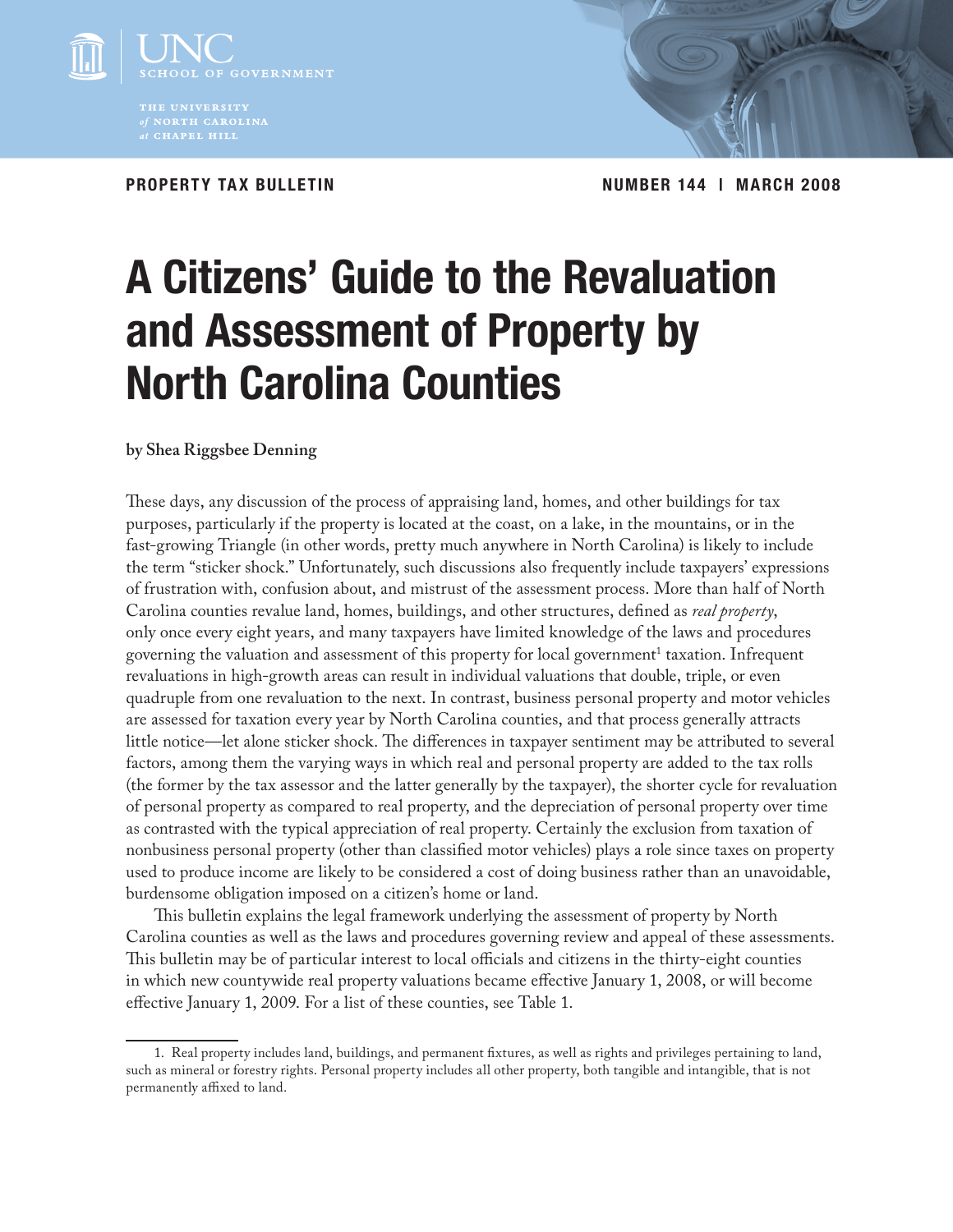

*at* CHAPEL HILL

**PROPERTY TAX BULLETIN Number 144 | march 2008**

# **A Citizens' Guide to the Revaluation and Assessment of Property by North Carolina Counties**

# **by Shea Riggsbee Denning**

These days, any discussion of the process of appraising land, homes, and other buildings for tax purposes, particularly if the property is located at the coast, on a lake, in the mountains, or in the fast-growing Triangle (in other words, pretty much anywhere in North Carolina) is likely to include the term "sticker shock." Unfortunately, such discussions also frequently include taxpayers' expressions of frustration with, confusion about, and mistrust of the assessment process. More than half of North Carolina counties revalue land, homes, buildings, and other structures, defined as *real property*, only once every eight years, and many taxpayers have limited knowledge of the laws and procedures governing the valuation and assessment of this property for local government<sup>1</sup> taxation. Infrequent revaluations in high-growth areas can result in individual valuations that double, triple, or even quadruple from one revaluation to the next. In contrast, business personal property and motor vehicles are assessed for taxation every year by North Carolina counties, and that process generally attracts little notice—let alone sticker shock. The differences in taxpayer sentiment may be attributed to several factors, among them the varying ways in which real and personal property are added to the tax rolls (the former by the tax assessor and the latter generally by the taxpayer), the shorter cycle for revaluation of personal property as compared to real property, and the depreciation of personal property over time as contrasted with the typical appreciation of real property. Certainly the exclusion from taxation of nonbusiness personal property (other than classified motor vehicles) plays a role since taxes on property used to produce income are likely to be considered a cost of doing business rather than an unavoidable, burdensome obligation imposed on a citizen's home or land.

This bulletin explains the legal framework underlying the assessment of property by North Carolina counties as well as the laws and procedures governing review and appeal of these assessments. This bulletin may be of particular interest to local officials and citizens in the thirty-eight counties in which new countywide real property valuations became effective January 1, 2008, or will become effective January 1, 2009. For a list of these counties, see Table 1.

<sup>1.</sup> Real property includes land, buildings, and permanent fixtures, as well as rights and privileges pertaining to land, such as mineral or forestry rights. Personal property includes all other property, both tangible and intangible, that is not permanently affixed to land.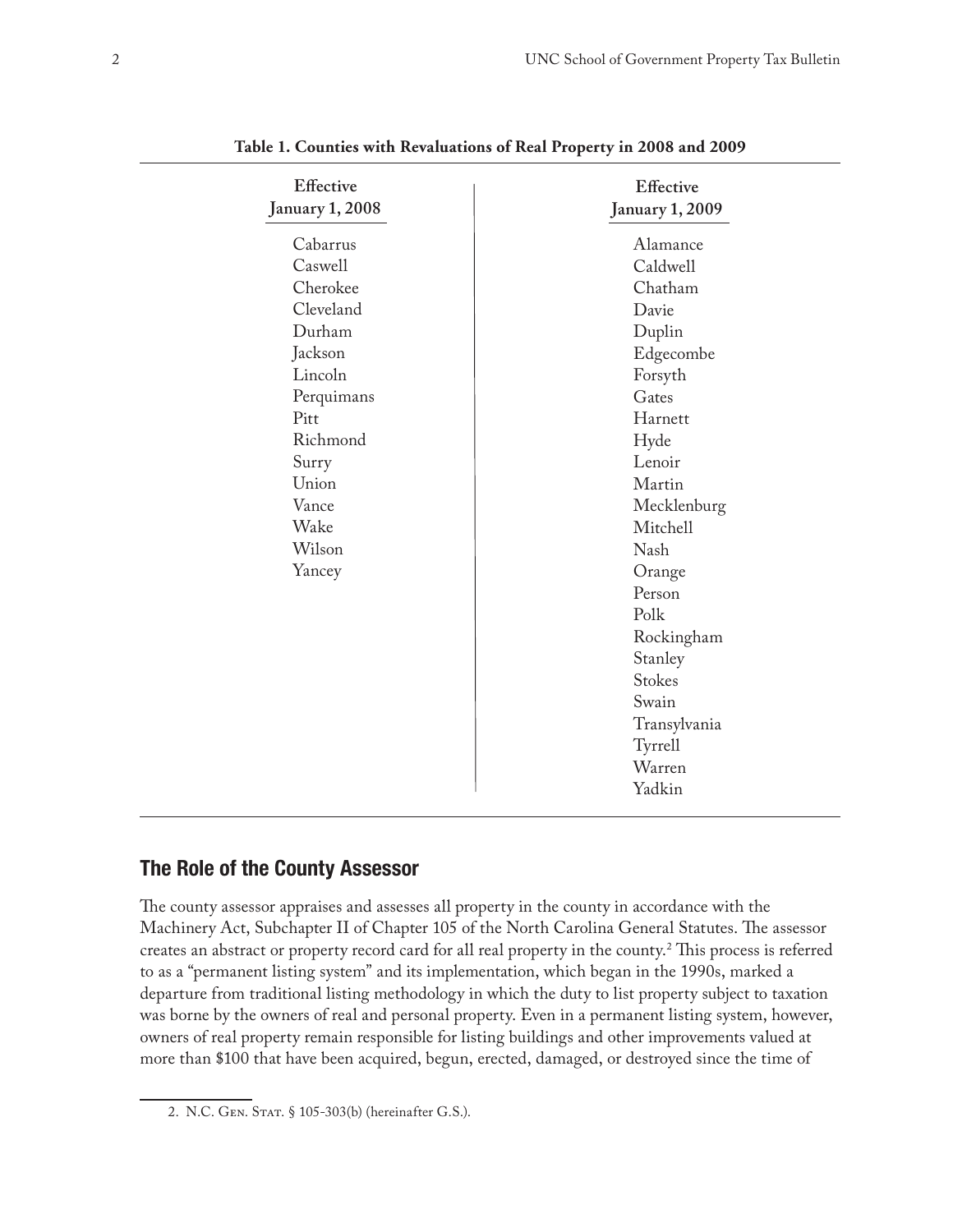| <b>Effective</b><br><b>January 1, 2008</b> | <b>Effective</b><br><b>January 1, 2009</b> |
|--------------------------------------------|--------------------------------------------|
| Cabarrus                                   | Alamance                                   |
| Caswell                                    | Caldwell                                   |
| Cherokee                                   | Chatham                                    |
| Cleveland                                  | Davie                                      |
| Durham                                     | Duplin                                     |
| Jackson                                    | Edgecombe                                  |
| Lincoln                                    | Forsyth                                    |
| Perquimans                                 | Gates                                      |
| Pitt                                       | Harnett                                    |
| Richmond                                   | Hyde                                       |
| Surry                                      | Lenoir                                     |
| Union                                      | Martin                                     |
| Vance                                      | Mecklenburg                                |
| Wake                                       | Mitchell                                   |
| Wilson                                     | <b>Nash</b>                                |
| Yancey                                     | Orange                                     |
|                                            | Person                                     |
|                                            | Polk                                       |
|                                            | Rockingham                                 |
|                                            | Stanley                                    |
|                                            | <b>Stokes</b>                              |
|                                            | Swain                                      |
|                                            | Transylvania                               |
|                                            | Tyrrell                                    |
|                                            | Warren                                     |
|                                            | Yadkin                                     |

**Table 1. Counties with Revaluations of Real Property in 2008 and 2009**

# **The Role of the County Assessor**

The county assessor appraises and assesses all property in the county in accordance with the Machinery Act, Subchapter II of Chapter 105 of the North Carolina General Statutes. The assessor creates an abstract or property record card for all real property in the county.2 This process is referred to as a "permanent listing system" and its implementation, which began in the 1990s, marked a departure from traditional listing methodology in which the duty to list property subject to taxation was borne by the owners of real and personal property. Even in a permanent listing system, however, owners of real property remain responsible for listing buildings and other improvements valued at more than \$100 that have been acquired, begun, erected, damaged, or destroyed since the time of

<sup>2.</sup> N.C. GEN. STAT. § 105-303(b) (hereinafter G.S.).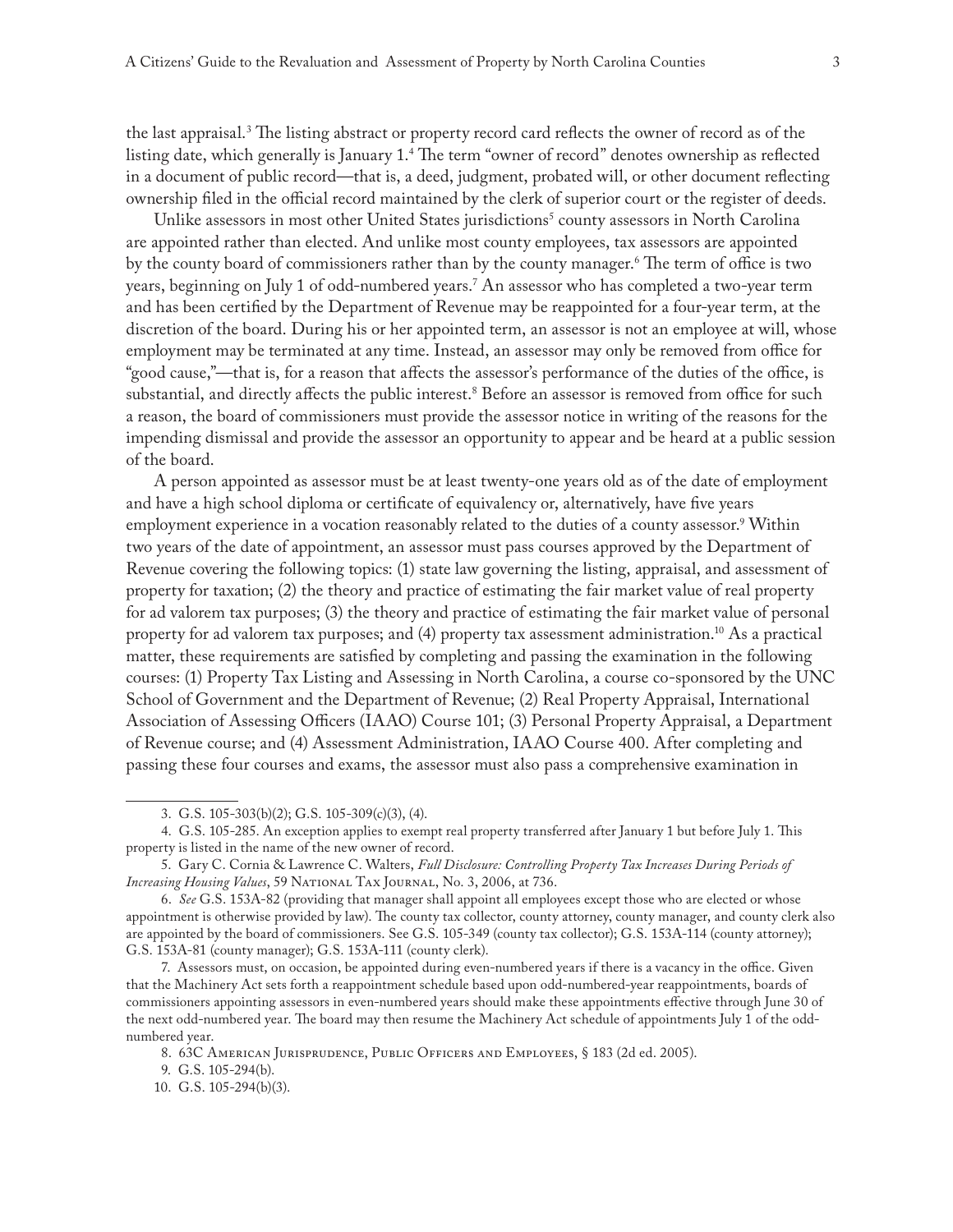the last appraisal.3 The listing abstract or property record card reflects the owner of record as of the listing date, which generally is January 1.4 The term "owner of record" denotes ownership as reflected in a document of public record—that is, a deed, judgment, probated will, or other document reflecting ownership filed in the official record maintained by the clerk of superior court or the register of deeds.

Unlike assessors in most other United States jurisdictions<sup>5</sup> county assessors in North Carolina are appointed rather than elected. And unlike most county employees, tax assessors are appointed by the county board of commissioners rather than by the county manager.6 The term of office is two years, beginning on July 1 of odd-numbered years.7 An assessor who has completed a two-year term and has been certified by the Department of Revenue may be reappointed for a four-year term, at the discretion of the board. During his or her appointed term, an assessor is not an employee at will, whose employment may be terminated at any time. Instead, an assessor may only be removed from office for "good cause,"—that is, for a reason that affects the assessor's performance of the duties of the office, is substantial, and directly affects the public interest.<sup>8</sup> Before an assessor is removed from office for such a reason, the board of commissioners must provide the assessor notice in writing of the reasons for the impending dismissal and provide the assessor an opportunity to appear and be heard at a public session of the board.

A person appointed as assessor must be at least twenty-one years old as of the date of employment and have a high school diploma or certificate of equivalency or, alternatively, have five years employment experience in a vocation reasonably related to the duties of a county assessor.<sup>9</sup> Within two years of the date of appointment, an assessor must pass courses approved by the Department of Revenue covering the following topics: (1) state law governing the listing, appraisal, and assessment of property for taxation; (2) the theory and practice of estimating the fair market value of real property for ad valorem tax purposes; (3) the theory and practice of estimating the fair market value of personal property for ad valorem tax purposes; and (4) property tax assessment administration.10 As a practical matter, these requirements are satisfied by completing and passing the examination in the following courses: (1) Property Tax Listing and Assessing in North Carolina, a course co-sponsored by the UNC School of Government and the Department of Revenue; (2) Real Property Appraisal, International Association of Assessing Officers (IAAO) Course 101; (3) Personal Property Appraisal, a Department of Revenue course; and (4) Assessment Administration, IAAO Course 400. After completing and passing these four courses and exams, the assessor must also pass a comprehensive examination in

9. G.S. 105-294(b).

<sup>3.</sup> G.S. 105-303(b)(2); G.S. 105-309(c)(3), (4).

<sup>4.</sup> G.S. 105-285. An exception applies to exempt real property transferred after January 1 but before July 1. This property is listed in the name of the new owner of record.

<sup>5.</sup> Gary C. Cornia & Lawrence C. Walters, *Full Disclosure: Controlling Property Tax Increases During Periods of Increasing Housing Values*, 59 National Tax Journal, No. 3, 2006, at 736.

<sup>6.</sup> *See* G.S. 153A-82 (providing that manager shall appoint all employees except those who are elected or whose appointment is otherwise provided by law). The county tax collector, county attorney, county manager, and county clerk also are appointed by the board of commissioners. See G.S. 105-349 (county tax collector); G.S. 153A-114 (county attorney); G.S. 153A-81 (county manager); G.S. 153A-111 (county clerk).

<sup>7.</sup> Assessors must, on occasion, be appointed during even-numbered years if there is a vacancy in the office. Given that the Machinery Act sets forth a reappointment schedule based upon odd-numbered-year reappointments, boards of commissioners appointing assessors in even-numbered years should make these appointments effective through June 30 of the next odd-numbered year. The board may then resume the Machinery Act schedule of appointments July 1 of the oddnumbered year.

<sup>8. 63</sup>C AMERICAN JURISPRUDENCE, PUBLIC OFFICERS AND EMPLOYEES, § 183 (2d ed. 2005).

<sup>10.</sup> G.S. 105-294(b)(3).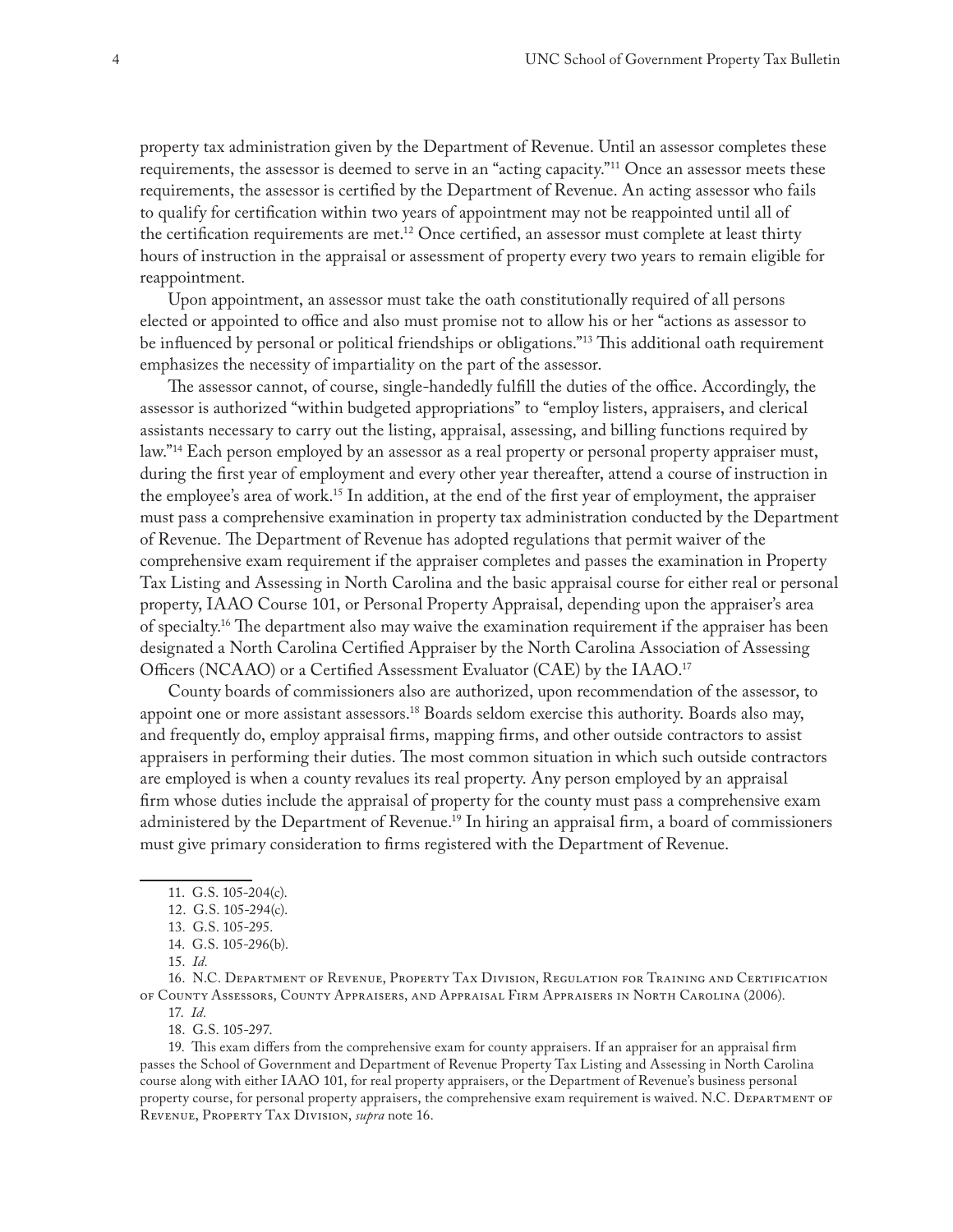property tax administration given by the Department of Revenue. Until an assessor completes these requirements, the assessor is deemed to serve in an "acting capacity."11 Once an assessor meets these requirements, the assessor is certified by the Department of Revenue. An acting assessor who fails to qualify for certification within two years of appointment may not be reappointed until all of the certification requirements are met.<sup>12</sup> Once certified, an assessor must complete at least thirty hours of instruction in the appraisal or assessment of property every two years to remain eligible for reappointment.

Upon appointment, an assessor must take the oath constitutionally required of all persons elected or appointed to office and also must promise not to allow his or her "actions as assessor to be influenced by personal or political friendships or obligations."<sup>13</sup> This additional oath requirement emphasizes the necessity of impartiality on the part of the assessor.

The assessor cannot, of course, single-handedly fulfill the duties of the office. Accordingly, the assessor is authorized "within budgeted appropriations" to "employ listers, appraisers, and clerical assistants necessary to carry out the listing, appraisal, assessing, and billing functions required by law."<sup>14</sup> Each person employed by an assessor as a real property or personal property appraiser must, during the first year of employment and every other year thereafter, attend a course of instruction in the employee's area of work.15 In addition, at the end of the first year of employment, the appraiser must pass a comprehensive examination in property tax administration conducted by the Department of Revenue. The Department of Revenue has adopted regulations that permit waiver of the comprehensive exam requirement if the appraiser completes and passes the examination in Property Tax Listing and Assessing in North Carolina and the basic appraisal course for either real or personal property, IAAO Course 101, or Personal Property Appraisal, depending upon the appraiser's area of specialty.16 The department also may waive the examination requirement if the appraiser has been designated a North Carolina Certified Appraiser by the North Carolina Association of Assessing Officers (NCAAO) or a Certified Assessment Evaluator (CAE) by the IAAO.17

County boards of commissioners also are authorized, upon recommendation of the assessor, to appoint one or more assistant assessors.<sup>18</sup> Boards seldom exercise this authority. Boards also may, and frequently do, employ appraisal firms, mapping firms, and other outside contractors to assist appraisers in performing their duties. The most common situation in which such outside contractors are employed is when a county revalues its real property. Any person employed by an appraisal firm whose duties include the appraisal of property for the county must pass a comprehensive exam administered by the Department of Revenue.<sup>19</sup> In hiring an appraisal firm, a board of commissioners must give primary consideration to firms registered with the Department of Revenue.

14. G.S. 105-296(b).

16. N.C. Department of Revenue, Property Tax Division, Regulation for Training and Certification of County Assessors, County Appraisers, and Appraisal Firm Appraisers in North Carolina (2006).

17. *Id.*

18. G.S. 105-297.

19. This exam differs from the comprehensive exam for county appraisers. If an appraiser for an appraisal firm passes the School of Government and Department of Revenue Property Tax Listing and Assessing in North Carolina course along with either IAAO 101, for real property appraisers, or the Department of Revenue's business personal property course, for personal property appraisers, the comprehensive exam requirement is waived. N.C. Department of Revenue, Property Tax Division, *supra* note 16.

<sup>11.</sup> G.S. 105-204(c).

<sup>12.</sup> G.S. 105-294(c).

<sup>13.</sup> G.S. 105-295.

<sup>15.</sup> *Id.*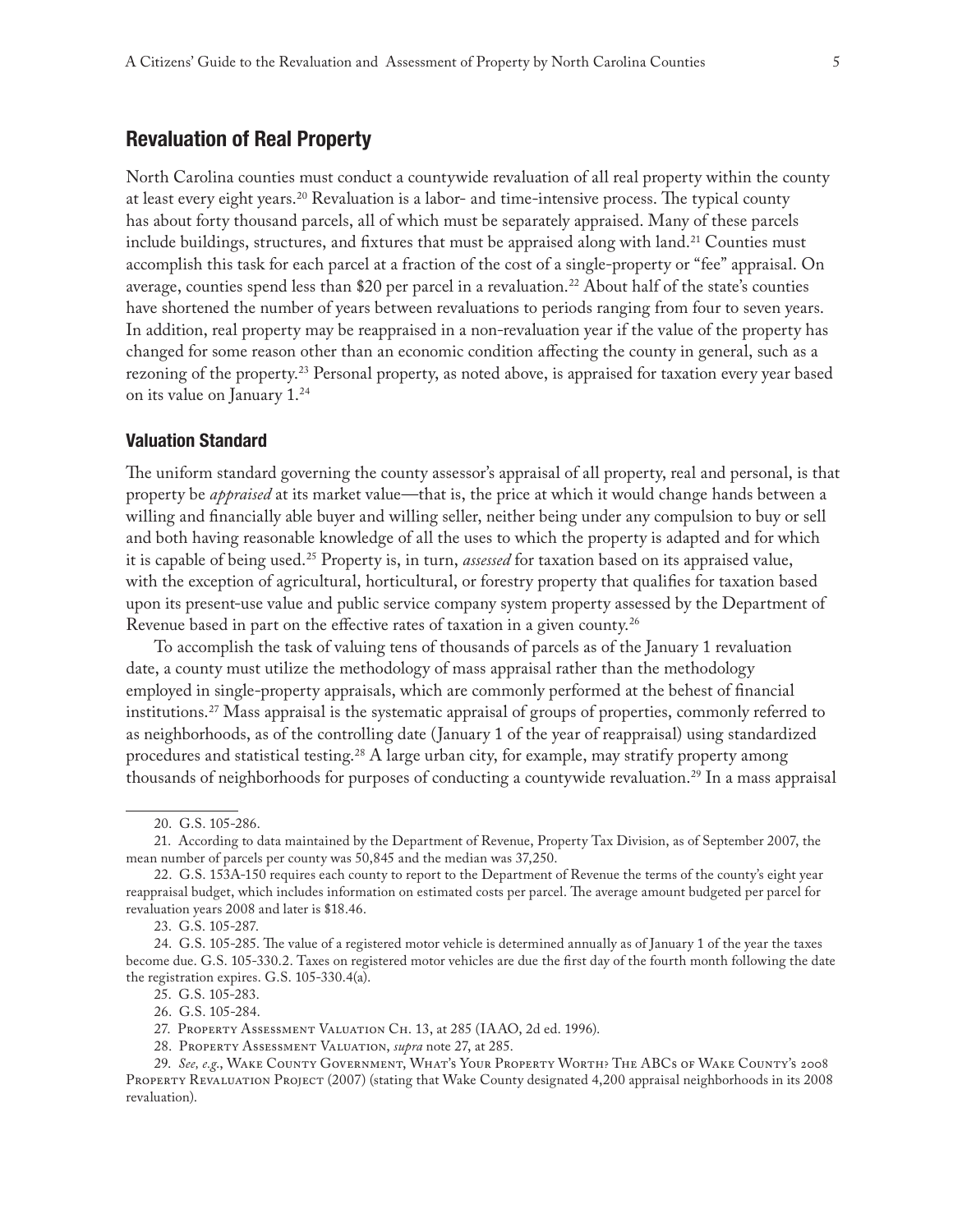# **Revaluation of Real Property**

North Carolina counties must conduct a countywide revaluation of all real property within the county at least every eight years.<sup>20</sup> Revaluation is a labor- and time-intensive process. The typical county has about forty thousand parcels, all of which must be separately appraised. Many of these parcels include buildings, structures, and fixtures that must be appraised along with land.<sup>21</sup> Counties must accomplish this task for each parcel at a fraction of the cost of a single-property or "fee" appraisal. On average, counties spend less than \$20 per parcel in a revaluation.<sup>22</sup> About half of the state's counties have shortened the number of years between revaluations to periods ranging from four to seven years. In addition, real property may be reappraised in a non-revaluation year if the value of the property has changed for some reason other than an economic condition affecting the county in general, such as a rezoning of the property.<sup>23</sup> Personal property, as noted above, is appraised for taxation every year based on its value on January 1.24

# **Valuation Standard**

The uniform standard governing the county assessor's appraisal of all property, real and personal, is that property be *appraised* at its market value—that is, the price at which it would change hands between a willing and financially able buyer and willing seller, neither being under any compulsion to buy or sell and both having reasonable knowledge of all the uses to which the property is adapted and for which it is capable of being used.25 Property is, in turn, *assessed* for taxation based on its appraised value, with the exception of agricultural, horticultural, or forestry property that qualifies for taxation based upon its present-use value and public service company system property assessed by the Department of Revenue based in part on the effective rates of taxation in a given county.<sup>26</sup>

To accomplish the task of valuing tens of thousands of parcels as of the January 1 revaluation date, a county must utilize the methodology of mass appraisal rather than the methodology employed in single-property appraisals, which are commonly performed at the behest of financial institutions.27 Mass appraisal is the systematic appraisal of groups of properties, commonly referred to as neighborhoods, as of the controlling date (January 1 of the year of reappraisal) using standardized procedures and statistical testing.<sup>28</sup> A large urban city, for example, may stratify property among thousands of neighborhoods for purposes of conducting a countywide revaluation.<sup>29</sup> In a mass appraisal

<sup>20.</sup> G.S. 105-286.

<sup>21.</sup> According to data maintained by the Department of Revenue, Property Tax Division, as of September 2007, the mean number of parcels per county was 50,845 and the median was 37,250.

<sup>22.</sup> G.S. 153A-150 requires each county to report to the Department of Revenue the terms of the county's eight year reappraisal budget, which includes information on estimated costs per parcel. The average amount budgeted per parcel for revaluation years 2008 and later is \$18.46.

<sup>23.</sup> G.S. 105-287.

<sup>24.</sup> G.S. 105-285. The value of a registered motor vehicle is determined annually as of January 1 of the year the taxes become due. G.S. 105-330.2. Taxes on registered motor vehicles are due the first day of the fourth month following the date the registration expires. G.S. 105-330.4(a).

<sup>25.</sup> G.S. 105-283.

<sup>26.</sup> G.S. 105-284.

<sup>27.</sup> Property Assessment Valuation Ch. 13, at 285 (IAAO, 2d ed. 1996).

<sup>28.</sup> Property Assessment Valuation, *supra* note 27, at 285.

<sup>29.</sup> *See, e.g*., Wake County Government, What's Your Property Worth? The ABCs of Wake County's 2008 PROPERTY REVALUATION PROJECT (2007) (stating that Wake County designated 4,200 appraisal neighborhoods in its 2008 revaluation).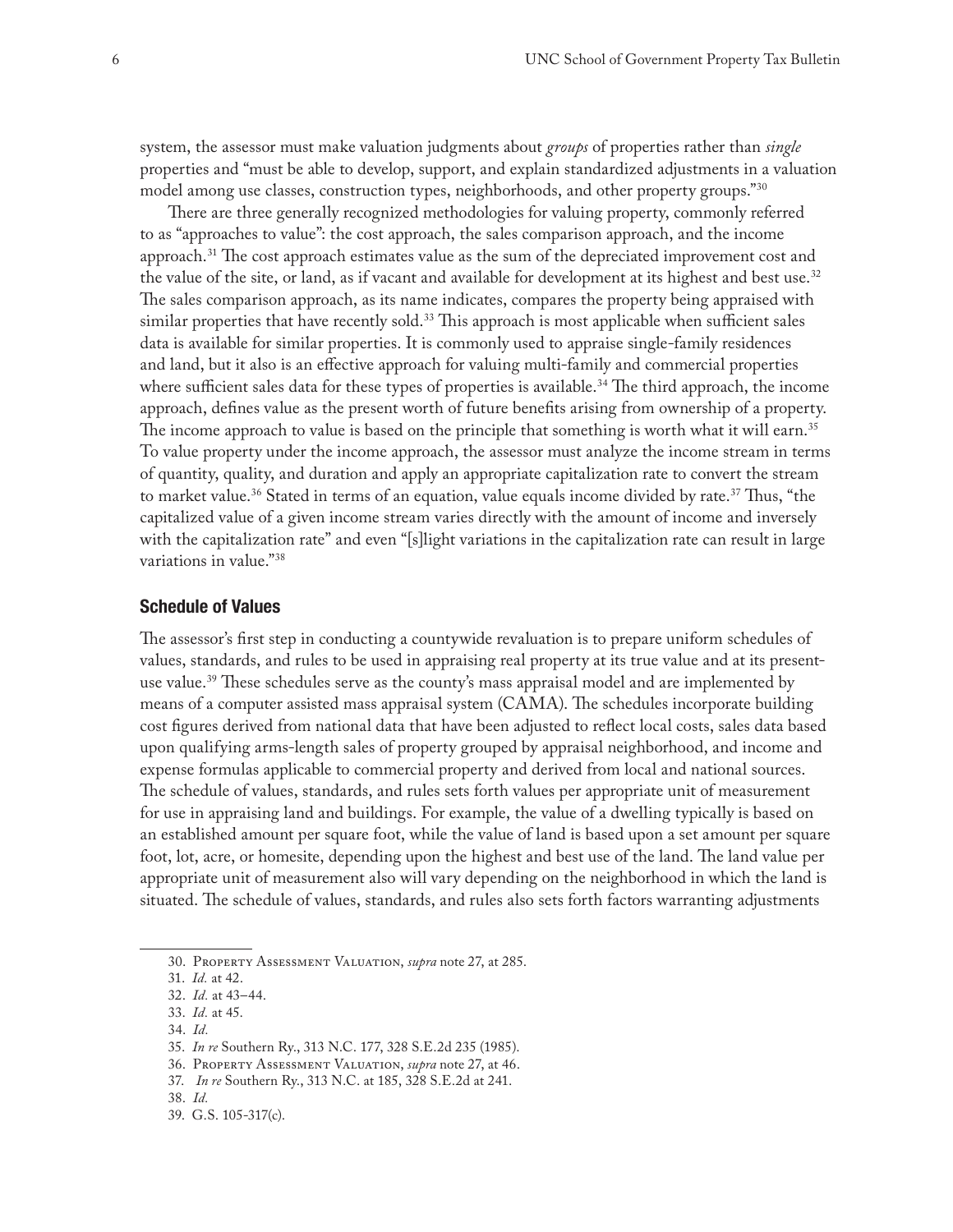system, the assessor must make valuation judgments about *groups* of properties rather than *single* properties and "must be able to develop, support, and explain standardized adjustments in a valuation model among use classes, construction types, neighborhoods, and other property groups."30

There are three generally recognized methodologies for valuing property, commonly referred to as "approaches to value": the cost approach, the sales comparison approach, and the income approach.<sup>31</sup> The cost approach estimates value as the sum of the depreciated improvement cost and the value of the site, or land, as if vacant and available for development at its highest and best use.<sup>32</sup> The sales comparison approach, as its name indicates, compares the property being appraised with similar properties that have recently sold.<sup>33</sup> This approach is most applicable when sufficient sales data is available for similar properties. It is commonly used to appraise single-family residences and land, but it also is an effective approach for valuing multi-family and commercial properties where sufficient sales data for these types of properties is available.<sup>34</sup> The third approach, the income approach, defines value as the present worth of future benefits arising from ownership of a property. The income approach to value is based on the principle that something is worth what it will earn.<sup>35</sup> To value property under the income approach, the assessor must analyze the income stream in terms of quantity, quality, and duration and apply an appropriate capitalization rate to convert the stream to market value.<sup>36</sup> Stated in terms of an equation, value equals income divided by rate.<sup>37</sup> Thus, "the capitalized value of a given income stream varies directly with the amount of income and inversely with the capitalization rate" and even "[s]light variations in the capitalization rate can result in large variations in value."38

# **Schedule of Values**

The assessor's first step in conducting a countywide revaluation is to prepare uniform schedules of values, standards, and rules to be used in appraising real property at its true value and at its presentuse value.<sup>39</sup> These schedules serve as the county's mass appraisal model and are implemented by means of a computer assisted mass appraisal system (CAMA). The schedules incorporate building cost figures derived from national data that have been adjusted to reflect local costs, sales data based upon qualifying arms-length sales of property grouped by appraisal neighborhood, and income and expense formulas applicable to commercial property and derived from local and national sources. The schedule of values, standards, and rules sets forth values per appropriate unit of measurement for use in appraising land and buildings. For example, the value of a dwelling typically is based on an established amount per square foot, while the value of land is based upon a set amount per square foot, lot, acre, or homesite, depending upon the highest and best use of the land. The land value per appropriate unit of measurement also will vary depending on the neighborhood in which the land is situated. The schedule of values, standards, and rules also sets forth factors warranting adjustments

34. *Id.*

<sup>30.</sup> Property Assessment Valuation, *supra* note 27, at 285.

<sup>31.</sup> *Id.* at 42.

<sup>32.</sup> *Id.* at 43–44.

<sup>33.</sup> *Id.* at 45.

<sup>35.</sup> *In re* Southern Ry., 313 N.C. 177, 328 S.E.2d 235 (1985).

<sup>36.</sup> Property Assessment Valuation, *supra* note 27, at 46.

<sup>37.</sup> *In re* Southern Ry., 313 N.C. at 185, 328 S.E.2d at 241.

<sup>38.</sup> *Id.*

<sup>39.</sup> G.S. 105-317(c).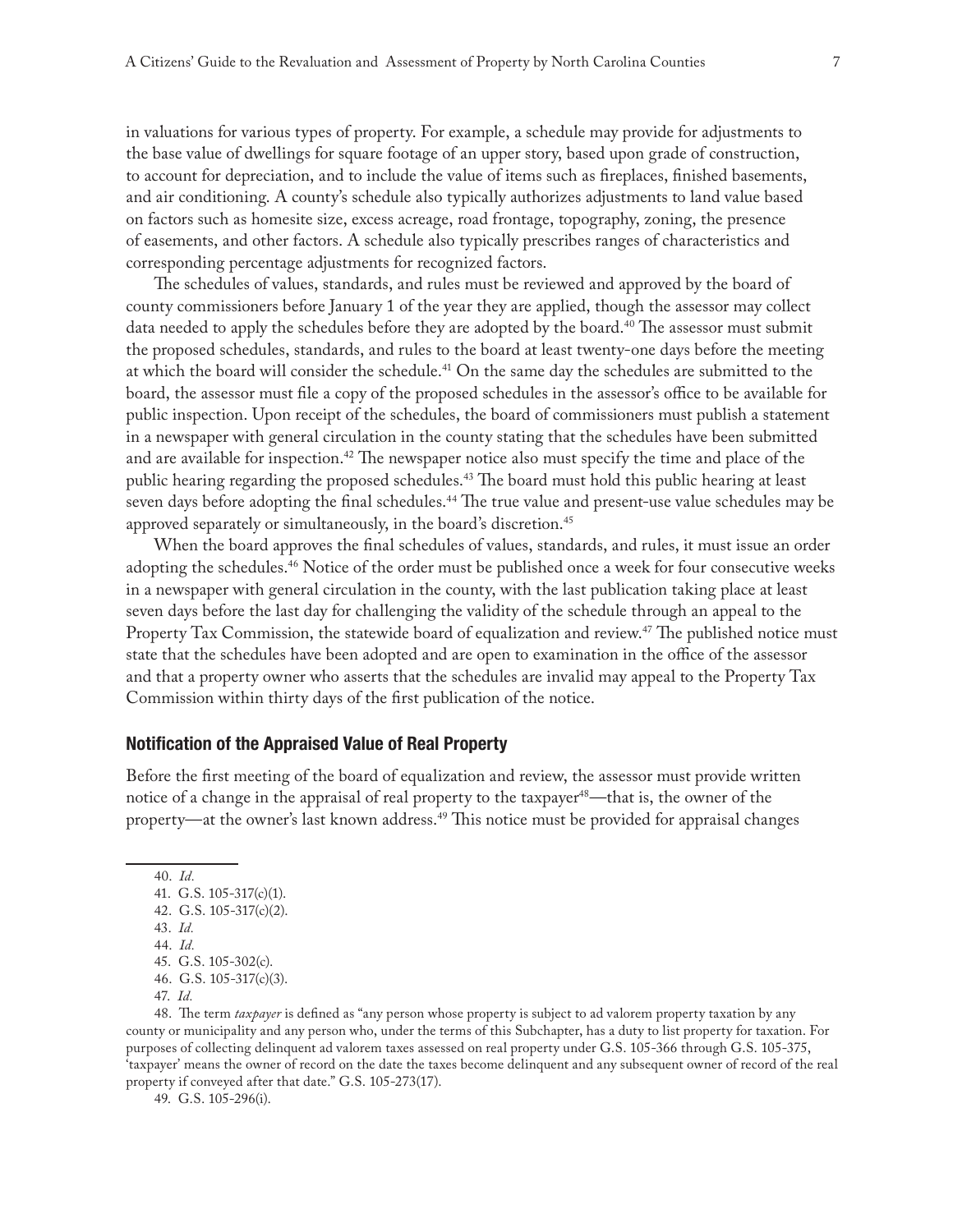in valuations for various types of property. For example, a schedule may provide for adjustments to the base value of dwellings for square footage of an upper story, based upon grade of construction, to account for depreciation, and to include the value of items such as fireplaces, finished basements, and air conditioning. A county's schedule also typically authorizes adjustments to land value based on factors such as homesite size, excess acreage, road frontage, topography, zoning, the presence of easements, and other factors. A schedule also typically prescribes ranges of characteristics and corresponding percentage adjustments for recognized factors.

The schedules of values, standards, and rules must be reviewed and approved by the board of county commissioners before January 1 of the year they are applied, though the assessor may collect data needed to apply the schedules before they are adopted by the board.<sup>40</sup> The assessor must submit the proposed schedules, standards, and rules to the board at least twenty-one days before the meeting at which the board will consider the schedule.<sup>41</sup> On the same day the schedules are submitted to the board, the assessor must file a copy of the proposed schedules in the assessor's office to be available for public inspection. Upon receipt of the schedules, the board of commissioners must publish a statement in a newspaper with general circulation in the county stating that the schedules have been submitted and are available for inspection.<sup>42</sup> The newspaper notice also must specify the time and place of the public hearing regarding the proposed schedules.<sup>43</sup> The board must hold this public hearing at least seven days before adopting the final schedules.<sup>44</sup> The true value and present-use value schedules may be approved separately or simultaneously, in the board's discretion.<sup>45</sup>

When the board approves the final schedules of values, standards, and rules, it must issue an order adopting the schedules.<sup>46</sup> Notice of the order must be published once a week for four consecutive weeks in a newspaper with general circulation in the county, with the last publication taking place at least seven days before the last day for challenging the validity of the schedule through an appeal to the Property Tax Commission, the statewide board of equalization and review.<sup>47</sup> The published notice must state that the schedules have been adopted and are open to examination in the office of the assessor and that a property owner who asserts that the schedules are invalid may appeal to the Property Tax Commission within thirty days of the first publication of the notice.

# **Notification of the Appraised Value of Real Property**

Before the first meeting of the board of equalization and review, the assessor must provide written notice of a change in the appraisal of real property to the taxpayer<sup>48</sup>—that is, the owner of the property—at the owner's last known address.<sup>49</sup> This notice must be provided for appraisal changes

40. *Id.* 41. G.S. 105-317(c)(1). 42. G.S. 105-317(c)(2). 43. *Id.* 44. *Id.* 45. G.S. 105-302(c). 46. G.S. 105-317(c)(3). 47. *Id.*

48. The term *taxpayer* is defined as "any person whose property is subject to ad valorem property taxation by any county or municipality and any person who, under the terms of this Subchapter, has a duty to list property for taxation. For purposes of collecting delinquent ad valorem taxes assessed on real property under G.S. 105-366 through G.S. 105-375, 'taxpayer' means the owner of record on the date the taxes become delinquent and any subsequent owner of record of the real property if conveyed after that date." G.S. 105-273(17).

49. G.S. 105-296(i).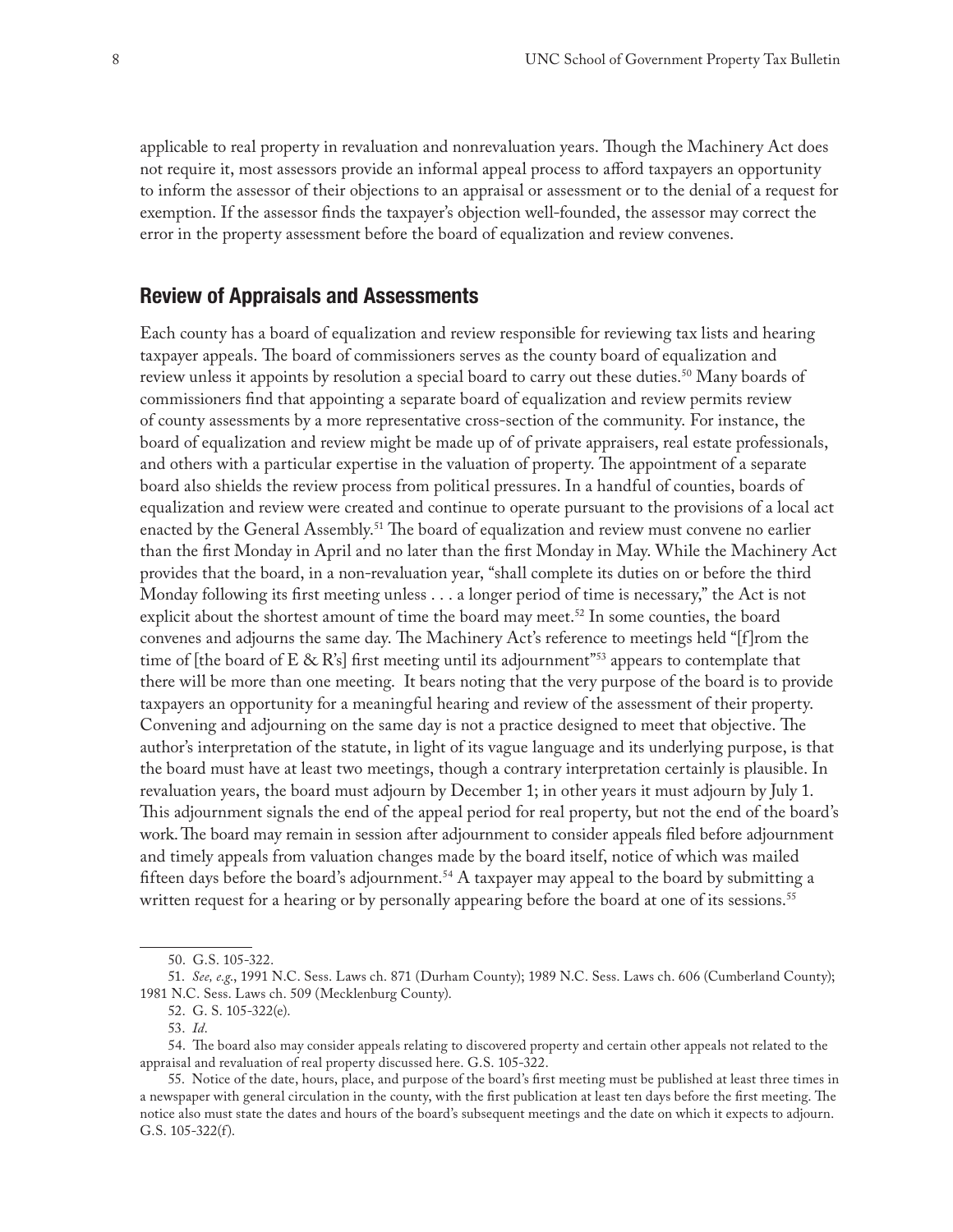applicable to real property in revaluation and nonrevaluation years. Though the Machinery Act does not require it, most assessors provide an informal appeal process to afford taxpayers an opportunity to inform the assessor of their objections to an appraisal or assessment or to the denial of a request for exemption. If the assessor finds the taxpayer's objection well-founded, the assessor may correct the error in the property assessment before the board of equalization and review convenes.

# **Review of Appraisals and Assessments**

Each county has a board of equalization and review responsible for reviewing tax lists and hearing taxpayer appeals. The board of commissioners serves as the county board of equalization and review unless it appoints by resolution a special board to carry out these duties.<sup>50</sup> Many boards of commissioners find that appointing a separate board of equalization and review permits review of county assessments by a more representative cross-section of the community. For instance, the board of equalization and review might be made up of of private appraisers, real estate professionals, and others with a particular expertise in the valuation of property. The appointment of a separate board also shields the review process from political pressures. In a handful of counties, boards of equalization and review were created and continue to operate pursuant to the provisions of a local act enacted by the General Assembly.<sup>51</sup> The board of equalization and review must convene no earlier than the first Monday in April and no later than the first Monday in May. While the Machinery Act provides that the board, in a non-revaluation year, "shall complete its duties on or before the third Monday following its first meeting unless . . . a longer period of time is necessary," the Act is not explicit about the shortest amount of time the board may meet.<sup>52</sup> In some counties, the board convenes and adjourns the same day. The Machinery Act's reference to meetings held "[f]rom the time of [the board of E & R's] first meeting until its adjournment"<sup>53</sup> appears to contemplate that there will be more than one meeting. It bears noting that the very purpose of the board is to provide taxpayers an opportunity for a meaningful hearing and review of the assessment of their property. Convening and adjourning on the same day is not a practice designed to meet that objective. The author's interpretation of the statute, in light of its vague language and its underlying purpose, is that the board must have at least two meetings, though a contrary interpretation certainly is plausible. In revaluation years, the board must adjourn by December 1; in other years it must adjourn by July 1. This adjournment signals the end of the appeal period for real property, but not the end of the board's work. The board may remain in session after adjournment to consider appeals filed before adjournment and timely appeals from valuation changes made by the board itself, notice of which was mailed fifteen days before the board's adjournment.<sup>54</sup> A taxpayer may appeal to the board by submitting a written request for a hearing or by personally appearing before the board at one of its sessions.<sup>55</sup>

<sup>50.</sup> G.S. 105-322.

<sup>51.</sup> *See, e.g*., 1991 N.C. Sess. Laws ch. 871 (Durham County); 1989 N.C. Sess. Laws ch. 606 (Cumberland County); 1981 N.C. Sess. Laws ch. 509 (Mecklenburg County).

<sup>52.</sup> G. S. 105-322(e).

<sup>53.</sup> *Id*.

<sup>54.</sup> The board also may consider appeals relating to discovered property and certain other appeals not related to the appraisal and revaluation of real property discussed here. G.S. 105-322.

<sup>55.</sup> Notice of the date, hours, place, and purpose of the board's first meeting must be published at least three times in a newspaper with general circulation in the county, with the first publication at least ten days before the first meeting. The notice also must state the dates and hours of the board's subsequent meetings and the date on which it expects to adjourn. G.S. 105-322(f).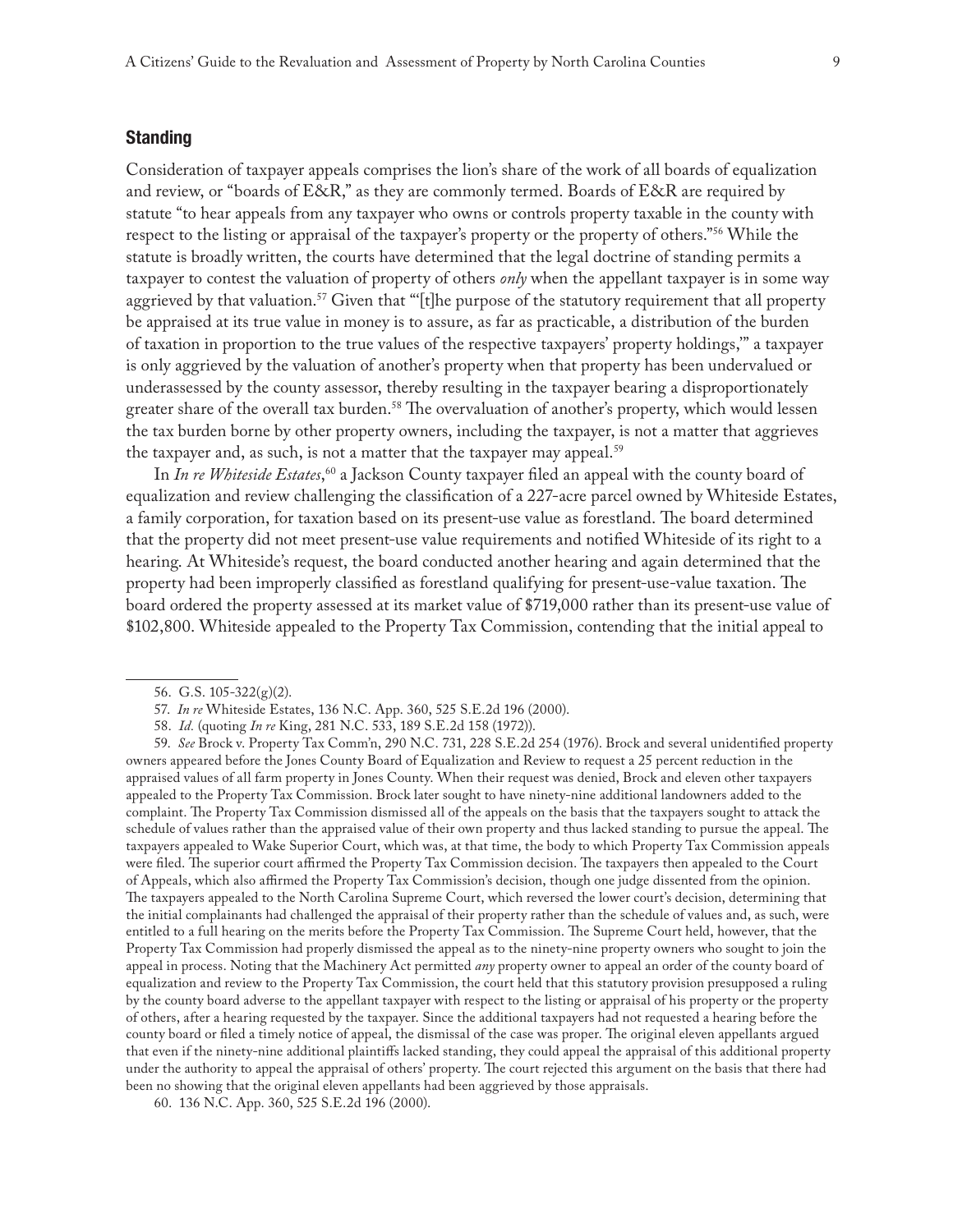## **Standing**

Consideration of taxpayer appeals comprises the lion's share of the work of all boards of equalization and review, or "boards of E&R," as they are commonly termed. Boards of E&R are required by statute "to hear appeals from any taxpayer who owns or controls property taxable in the county with respect to the listing or appraisal of the taxpayer's property or the property of others."56 While the statute is broadly written, the courts have determined that the legal doctrine of standing permits a taxpayer to contest the valuation of property of others *only* when the appellant taxpayer is in some way aggrieved by that valuation.<sup>57</sup> Given that "'[t]he purpose of the statutory requirement that all property be appraised at its true value in money is to assure, as far as practicable, a distribution of the burden of taxation in proportion to the true values of the respective taxpayers' property holdings,'" a taxpayer is only aggrieved by the valuation of another's property when that property has been undervalued or underassessed by the county assessor, thereby resulting in the taxpayer bearing a disproportionately greater share of the overall tax burden.58 The overvaluation of another's property, which would lessen the tax burden borne by other property owners, including the taxpayer, is not a matter that aggrieves the taxpayer and, as such, is not a matter that the taxpayer may appeal.<sup>59</sup>

In *In re Whiteside Estates*, 60 a Jackson County taxpayer filed an appeal with the county board of equalization and review challenging the classification of a 227-acre parcel owned by Whiteside Estates, a family corporation, for taxation based on its present-use value as forestland. The board determined that the property did not meet present-use value requirements and notified Whiteside of its right to a hearing. At Whiteside's request, the board conducted another hearing and again determined that the property had been improperly classified as forestland qualifying for present-use-value taxation. The board ordered the property assessed at its market value of \$719,000 rather than its present-use value of \$102,800. Whiteside appealed to the Property Tax Commission, contending that the initial appeal to

59. *See* Brock v. Property Tax Comm'n, 290 N.C. 731, 228 S.E.2d 254 (1976). Brock and several unidentified property owners appeared before the Jones County Board of Equalization and Review to request a 25 percent reduction in the appraised values of all farm property in Jones County. When their request was denied, Brock and eleven other taxpayers appealed to the Property Tax Commission. Brock later sought to have ninety-nine additional landowners added to the complaint. The Property Tax Commission dismissed all of the appeals on the basis that the taxpayers sought to attack the schedule of values rather than the appraised value of their own property and thus lacked standing to pursue the appeal. The taxpayers appealed to Wake Superior Court, which was, at that time, the body to which Property Tax Commission appeals were filed. The superior court affirmed the Property Tax Commission decision. The taxpayers then appealed to the Court of Appeals, which also affirmed the Property Tax Commission's decision, though one judge dissented from the opinion. The taxpayers appealed to the North Carolina Supreme Court, which reversed the lower court's decision, determining that the initial complainants had challenged the appraisal of their property rather than the schedule of values and, as such, were entitled to a full hearing on the merits before the Property Tax Commission. The Supreme Court held, however, that the Property Tax Commission had properly dismissed the appeal as to the ninety-nine property owners who sought to join the appeal in process. Noting that the Machinery Act permitted *any* property owner to appeal an order of the county board of equalization and review to the Property Tax Commission, the court held that this statutory provision presupposed a ruling by the county board adverse to the appellant taxpayer with respect to the listing or appraisal of his property or the property of others, after a hearing requested by the taxpayer. Since the additional taxpayers had not requested a hearing before the county board or filed a timely notice of appeal, the dismissal of the case was proper. The original eleven appellants argued that even if the ninety-nine additional plaintiffs lacked standing, they could appeal the appraisal of this additional property under the authority to appeal the appraisal of others' property. The court rejected this argument on the basis that there had been no showing that the original eleven appellants had been aggrieved by those appraisals.

<sup>56.</sup> G.S. 105-322(g)(2).

<sup>57.</sup> *In re* Whiteside Estates, 136 N.C. App. 360, 525 S.E.2d 196 (2000).

<sup>58.</sup> *Id.* (quoting *In re* King, 281 N.C. 533, 189 S.E.2d 158 (1972)).

<sup>60.</sup> 136 N.C. App. 360, 525 S.E.2d 196 (2000).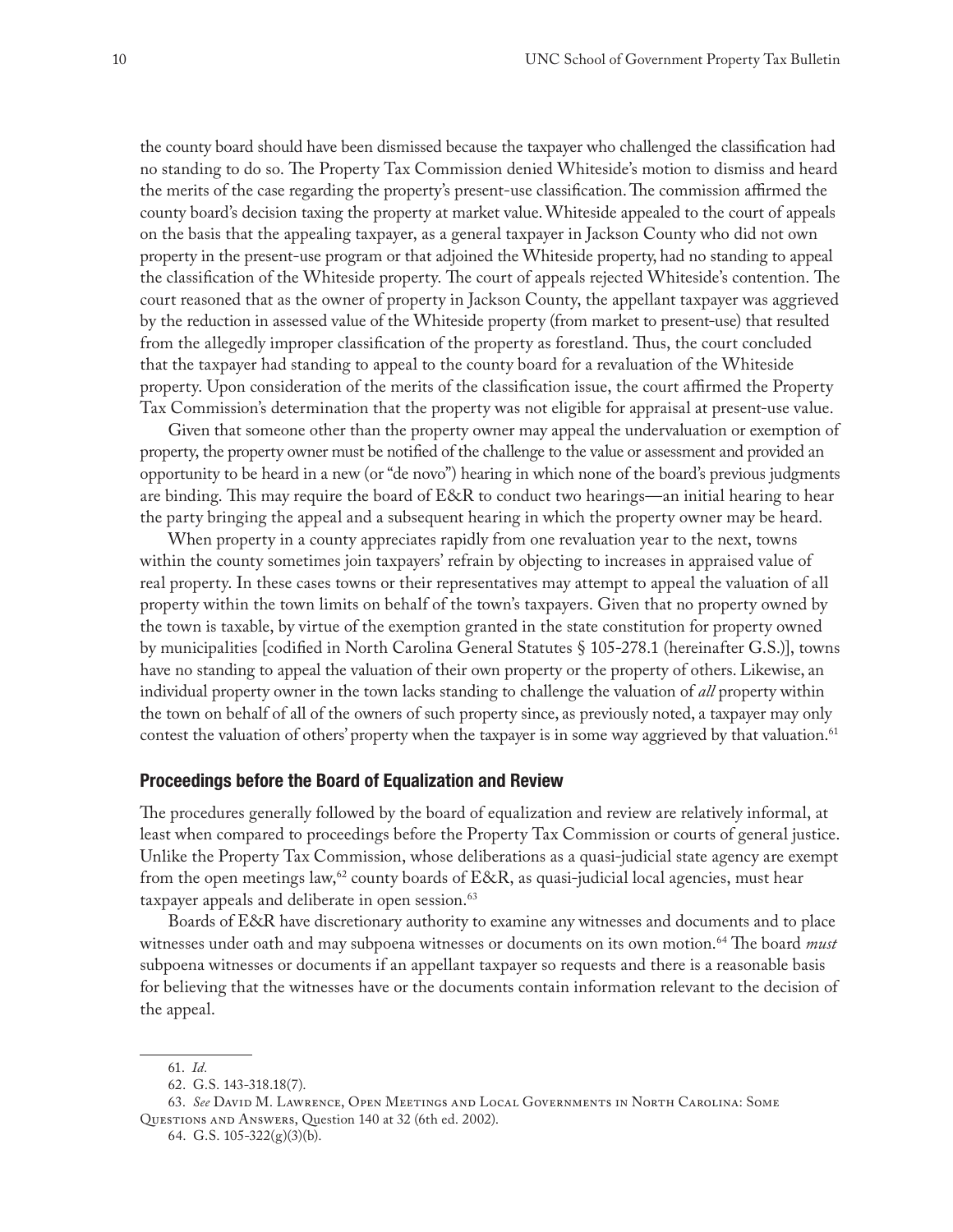the county board should have been dismissed because the taxpayer who challenged the classification had no standing to do so. The Property Tax Commission denied Whiteside's motion to dismiss and heard the merits of the case regarding the property's present-use classification. The commission affirmed the county board's decision taxing the property at market value. Whiteside appealed to the court of appeals on the basis that the appealing taxpayer, as a general taxpayer in Jackson County who did not own property in the present-use program or that adjoined the Whiteside property, had no standing to appeal the classification of the Whiteside property. The court of appeals rejected Whiteside's contention. The court reasoned that as the owner of property in Jackson County, the appellant taxpayer was aggrieved by the reduction in assessed value of the Whiteside property (from market to present-use) that resulted from the allegedly improper classification of the property as forestland. Thus, the court concluded that the taxpayer had standing to appeal to the county board for a revaluation of the Whiteside property. Upon consideration of the merits of the classification issue, the court affirmed the Property Tax Commission's determination that the property was not eligible for appraisal at present-use value.

Given that someone other than the property owner may appeal the undervaluation or exemption of property, the property owner must be notified of the challenge to the value or assessment and provided an opportunity to be heard in a new (or "de novo") hearing in which none of the board's previous judgments are binding. This may require the board of E&R to conduct two hearings—an initial hearing to hear the party bringing the appeal and a subsequent hearing in which the property owner may be heard.

When property in a county appreciates rapidly from one revaluation year to the next, towns within the county sometimes join taxpayers' refrain by objecting to increases in appraised value of real property. In these cases towns or their representatives may attempt to appeal the valuation of all property within the town limits on behalf of the town's taxpayers. Given that no property owned by the town is taxable, by virtue of the exemption granted in the state constitution for property owned by municipalities [codified in North Carolina General Statutes § 105-278.1 (hereinafter G.S.)], towns have no standing to appeal the valuation of their own property or the property of others. Likewise, an individual property owner in the town lacks standing to challenge the valuation of *all* property within the town on behalf of all of the owners of such property since, as previously noted, a taxpayer may only contest the valuation of others' property when the taxpayer is in some way aggrieved by that valuation.<sup>61</sup>

#### **Proceedings before the Board of Equalization and Review**

The procedures generally followed by the board of equalization and review are relatively informal, at least when compared to proceedings before the Property Tax Commission or courts of general justice. Unlike the Property Tax Commission, whose deliberations as a quasi-judicial state agency are exempt from the open meetings law,<sup>62</sup> county boards of E&R, as quasi-judicial local agencies, must hear taxpayer appeals and deliberate in open session.<sup>63</sup>

Boards of E&R have discretionary authority to examine any witnesses and documents and to place witnesses under oath and may subpoena witnesses or documents on its own motion.64 The board *must* subpoena witnesses or documents if an appellant taxpayer so requests and there is a reasonable basis for believing that the witnesses have or the documents contain information relevant to the decision of the appeal.

<sup>61.</sup> *Id.*

<sup>62.</sup> G.S. 143-318.18(7).

<sup>63.</sup> *See* David M. Lawrence, Open Meetings and Local Governments in North Carolina: Some Questions and Answers, Question 140 at 32 (6th ed. 2002).

<sup>64.</sup> G.S. 105-322(g)(3)(b).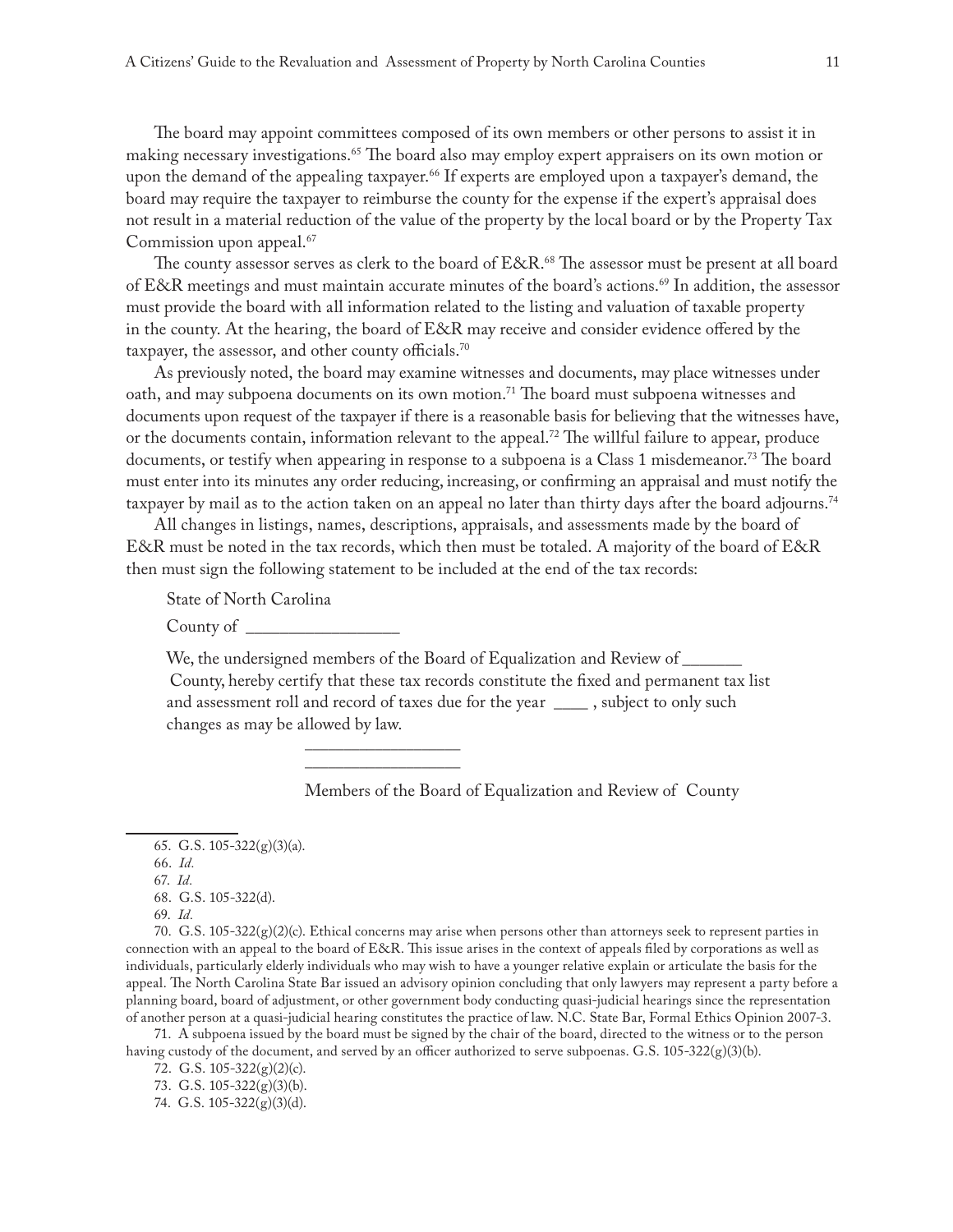The board may appoint committees composed of its own members or other persons to assist it in making necessary investigations.65 The board also may employ expert appraisers on its own motion or upon the demand of the appealing taxpayer.<sup>66</sup> If experts are employed upon a taxpayer's demand, the board may require the taxpayer to reimburse the county for the expense if the expert's appraisal does not result in a material reduction of the value of the property by the local board or by the Property Tax Commission upon appeal.<sup>67</sup>

The county assessor serves as clerk to the board of E&R.<sup>68</sup> The assessor must be present at all board of E&R meetings and must maintain accurate minutes of the board's actions.69 In addition, the assessor must provide the board with all information related to the listing and valuation of taxable property in the county. At the hearing, the board of E&R may receive and consider evidence offered by the taxpayer, the assessor, and other county officials.<sup>70</sup>

As previously noted, the board may examine witnesses and documents, may place witnesses under oath, and may subpoena documents on its own motion.<sup>71</sup> The board must subpoena witnesses and documents upon request of the taxpayer if there is a reasonable basis for believing that the witnesses have, or the documents contain, information relevant to the appeal.<sup>72</sup> The willful failure to appear, produce documents, or testify when appearing in response to a subpoena is a Class 1 misdemeanor.73 The board must enter into its minutes any order reducing, increasing, or confirming an appraisal and must notify the taxpayer by mail as to the action taken on an appeal no later than thirty days after the board adjourns.<sup>74</sup>

All changes in listings, names, descriptions, appraisals, and assessments made by the board of E&R must be noted in the tax records, which then must be totaled. A majority of the board of E&R then must sign the following statement to be included at the end of the tax records:

State of North Carolina

County of \_

We, the undersigned members of the Board of Equalization and Review of County, hereby certify that these tax records constitute the fixed and permanent tax list and assessment roll and record of taxes due for the year \_\_\_\_ , subject to only such changes as may be allowed by law.

> \_\_\_\_\_\_\_\_\_\_\_\_\_\_\_\_\_\_\_\_ \_\_\_\_\_\_\_\_\_\_\_\_\_\_\_\_\_\_\_\_

Members of the Board of Equalization and Review of County

70. G.S.  $105-322(g)(2)(c)$ . Ethical concerns may arise when persons other than attorneys seek to represent parties in connection with an appeal to the board of E&R. This issue arises in the context of appeals filed by corporations as well as individuals, particularly elderly individuals who may wish to have a younger relative explain or articulate the basis for the appeal. The North Carolina State Bar issued an advisory opinion concluding that only lawyers may represent a party before a planning board, board of adjustment, or other government body conducting quasi-judicial hearings since the representation of another person at a quasi-judicial hearing constitutes the practice of law. N.C. State Bar, Formal Ethics Opinion 2007-3.

71. A subpoena issued by the board must be signed by the chair of the board, directed to the witness or to the person having custody of the document, and served by an officer authorized to serve subpoenas. G.S. 105-322(g)(3)(b).

72. G.S. 105-322(g)(2)(c).

73. G.S. 105-322(g)(3)(b).

<sup>65.</sup> G.S. 105-322(g)(3)(a).

<sup>66.</sup> *Id.*

<sup>67.</sup> *Id.*

<sup>68.</sup> G.S. 105-322(d).

<sup>69.</sup> *Id.*

<sup>74.</sup> G.S. 105-322(g)(3)(d).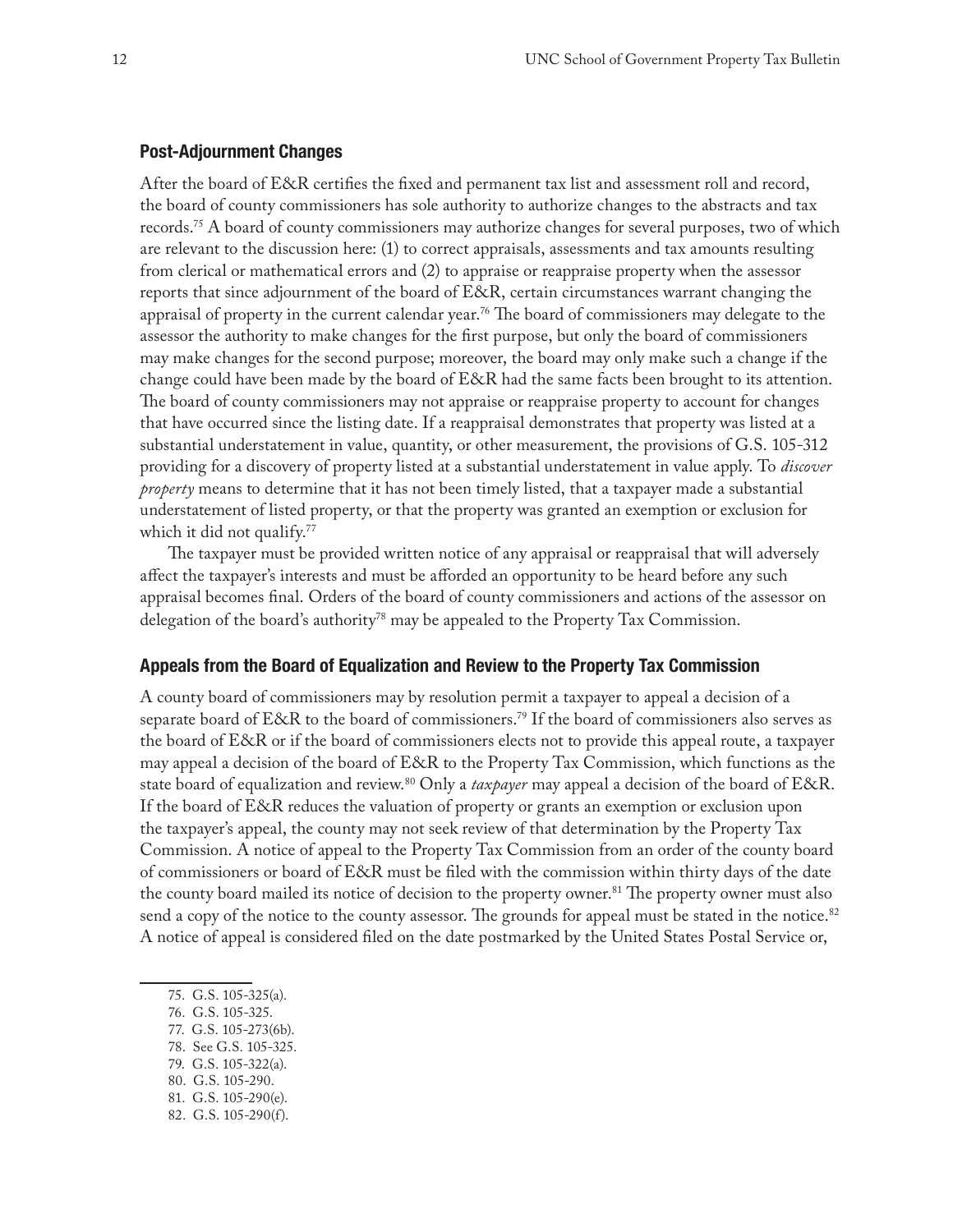## **Post-Adjournment Changes**

After the board of E&R certifies the fixed and permanent tax list and assessment roll and record, the board of county commissioners has sole authority to authorize changes to the abstracts and tax records.75 A board of county commissioners may authorize changes for several purposes, two of which are relevant to the discussion here: (1) to correct appraisals, assessments and tax amounts resulting from clerical or mathematical errors and (2) to appraise or reappraise property when the assessor reports that since adjournment of the board of E&R, certain circumstances warrant changing the appraisal of property in the current calendar year.<sup>76</sup> The board of commissioners may delegate to the assessor the authority to make changes for the first purpose, but only the board of commissioners may make changes for the second purpose; moreover, the board may only make such a change if the change could have been made by the board of E&R had the same facts been brought to its attention. The board of county commissioners may not appraise or reappraise property to account for changes that have occurred since the listing date. If a reappraisal demonstrates that property was listed at a substantial understatement in value, quantity, or other measurement, the provisions of G.S. 105-312 providing for a discovery of property listed at a substantial understatement in value apply. To *discover property* means to determine that it has not been timely listed, that a taxpayer made a substantial understatement of listed property, or that the property was granted an exemption or exclusion for which it did not qualify.<sup>77</sup>

The taxpayer must be provided written notice of any appraisal or reappraisal that will adversely affect the taxpayer's interests and must be afforded an opportunity to be heard before any such appraisal becomes final. Orders of the board of county commissioners and actions of the assessor on delegation of the board's authority78 may be appealed to the Property Tax Commission.

# **Appeals from the Board of Equalization and Review to the Property Tax Commission**

A county board of commissioners may by resolution permit a taxpayer to appeal a decision of a separate board of E&R to the board of commissioners.79 If the board of commissioners also serves as the board of E&R or if the board of commissioners elects not to provide this appeal route, a taxpayer may appeal a decision of the board of E&R to the Property Tax Commission, which functions as the state board of equalization and review.80 Only a *taxpayer* may appeal a decision of the board of E&R. If the board of E&R reduces the valuation of property or grants an exemption or exclusion upon the taxpayer's appeal, the county may not seek review of that determination by the Property Tax Commission. A notice of appeal to the Property Tax Commission from an order of the county board of commissioners or board of E&R must be filed with the commission within thirty days of the date the county board mailed its notice of decision to the property owner.<sup>81</sup> The property owner must also send a copy of the notice to the county assessor. The grounds for appeal must be stated in the notice.<sup>82</sup> A notice of appeal is considered filed on the date postmarked by the United States Postal Service or,

80. G.S. 105-290.

82. G.S. 105-290(f).

<sup>75.</sup> G.S. 105-325(a).

<sup>76.</sup> G.S. 105-325.

<sup>77.</sup> G.S. 105-273(6b).

<sup>78.</sup> See G.S. 105-325.

<sup>79.</sup> G.S. 105-322(a).

<sup>81.</sup> G.S. 105-290(e).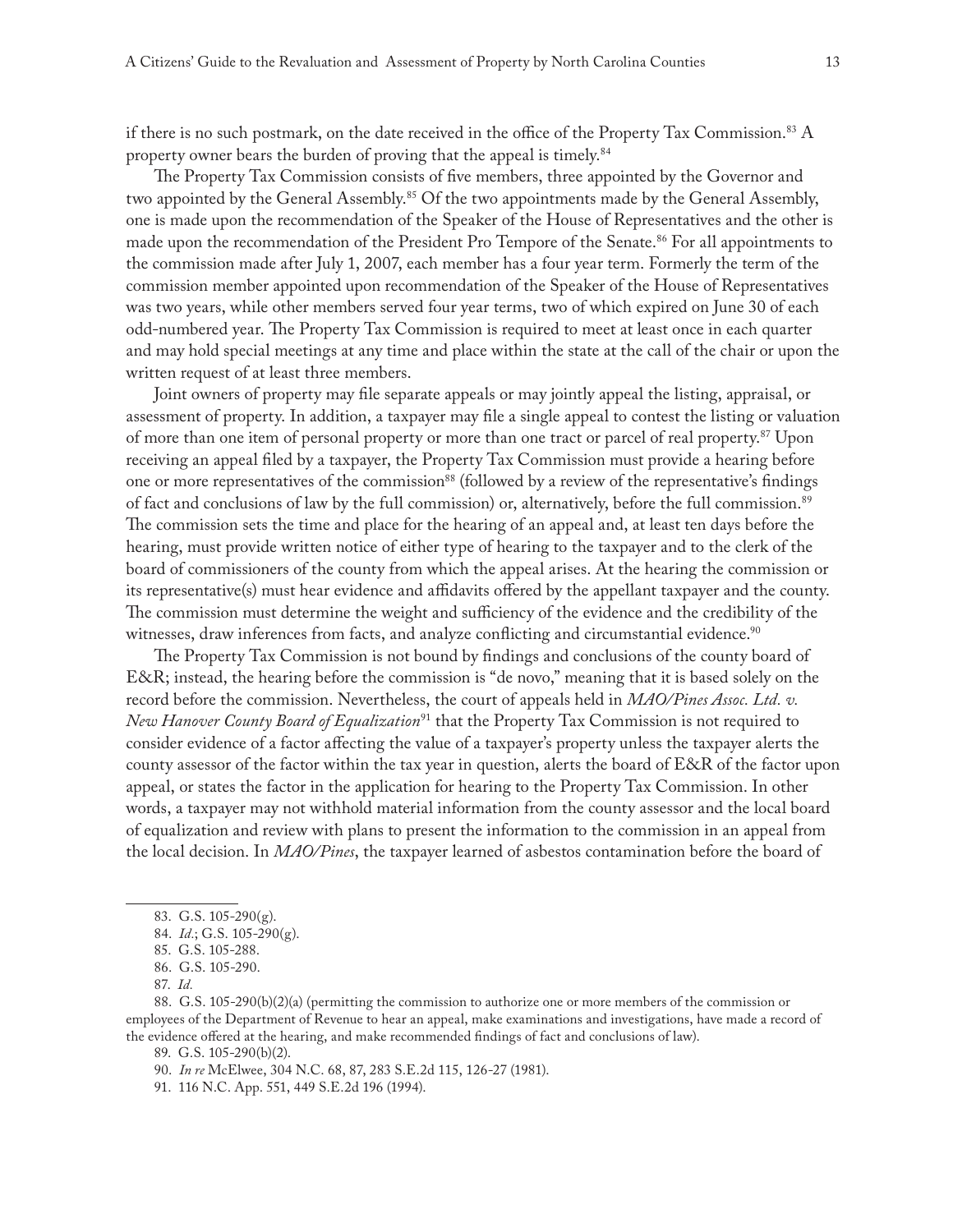if there is no such postmark, on the date received in the office of the Property Tax Commission.<sup>83</sup> A property owner bears the burden of proving that the appeal is timely.<sup>84</sup>

The Property Tax Commission consists of five members, three appointed by the Governor and two appointed by the General Assembly.<sup>85</sup> Of the two appointments made by the General Assembly, one is made upon the recommendation of the Speaker of the House of Representatives and the other is made upon the recommendation of the President Pro Tempore of the Senate.<sup>86</sup> For all appointments to the commission made after July 1, 2007, each member has a four year term. Formerly the term of the commission member appointed upon recommendation of the Speaker of the House of Representatives was two years, while other members served four year terms, two of which expired on June 30 of each odd-numbered year. The Property Tax Commission is required to meet at least once in each quarter and may hold special meetings at any time and place within the state at the call of the chair or upon the written request of at least three members.

Joint owners of property may file separate appeals or may jointly appeal the listing, appraisal, or assessment of property. In addition, a taxpayer may file a single appeal to contest the listing or valuation of more than one item of personal property or more than one tract or parcel of real property.<sup>87</sup> Upon receiving an appeal filed by a taxpayer, the Property Tax Commission must provide a hearing before one or more representatives of the commission<sup>88</sup> (followed by a review of the representative's findings of fact and conclusions of law by the full commission) or, alternatively, before the full commission.<sup>89</sup> The commission sets the time and place for the hearing of an appeal and, at least ten days before the hearing, must provide written notice of either type of hearing to the taxpayer and to the clerk of the board of commissioners of the county from which the appeal arises. At the hearing the commission or its representative(s) must hear evidence and affidavits offered by the appellant taxpayer and the county. The commission must determine the weight and sufficiency of the evidence and the credibility of the witnesses, draw inferences from facts, and analyze conflicting and circumstantial evidence.<sup>90</sup>

The Property Tax Commission is not bound by findings and conclusions of the county board of E&R; instead, the hearing before the commission is "de novo," meaning that it is based solely on the record before the commission. Nevertheless, the court of appeals held in *MAO/Pines Assoc. Ltd. v. New Hanover County Board of Equalization*91 that the Property Tax Commission is not required to consider evidence of a factor affecting the value of a taxpayer's property unless the taxpayer alerts the county assessor of the factor within the tax year in question, alerts the board of E&R of the factor upon appeal, or states the factor in the application for hearing to the Property Tax Commission. In other words, a taxpayer may not withhold material information from the county assessor and the local board of equalization and review with plans to present the information to the commission in an appeal from the local decision. In *MAO/Pines*, the taxpayer learned of asbestos contamination before the board of

88. G.S. 105-290(b)(2)(a) (permitting the commission to authorize one or more members of the commission or employees of the Department of Revenue to hear an appeal, make examinations and investigations, have made a record of the evidence offered at the hearing, and make recommended findings of fact and conclusions of law).

89. G.S. 105-290(b)(2).

<sup>83.</sup> G.S. 105-290(g).

<sup>84.</sup> *Id.*; G.S. 105-290(g).

<sup>85.</sup> G.S. 105-288.

<sup>86.</sup> G.S. 105-290.

<sup>87.</sup> *Id.*

<sup>90.</sup> *In re* McElwee, 304 N.C. 68, 87, 283 S.E.2d 115, 126-27 (1981).

<sup>91.</sup> 116 N.C. App. 551, 449 S.E.2d 196 (1994).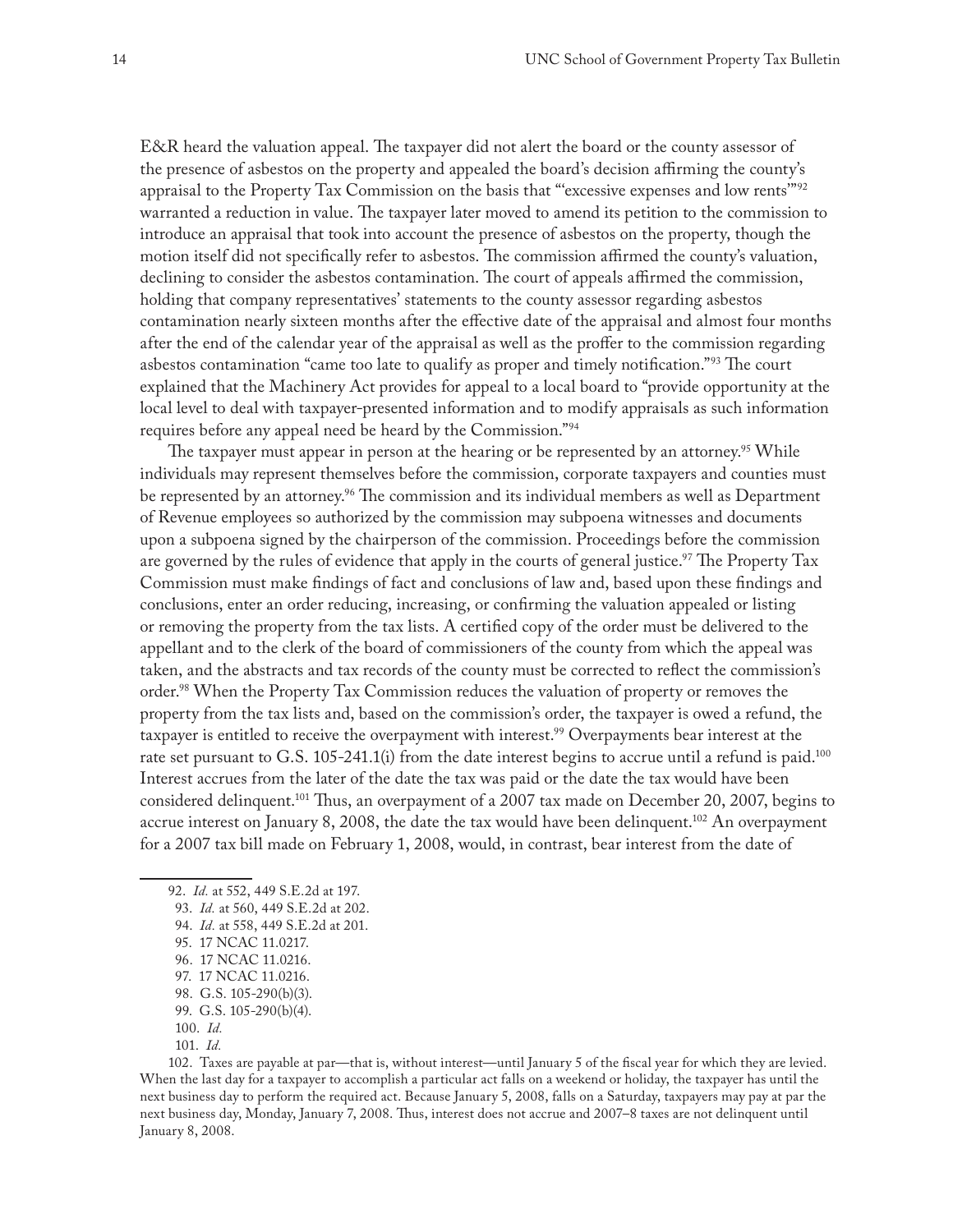E&R heard the valuation appeal. The taxpayer did not alert the board or the county assessor of the presence of asbestos on the property and appealed the board's decision affirming the county's appraisal to the Property Tax Commission on the basis that "'excessive expenses and low rents'"92 warranted a reduction in value. The taxpayer later moved to amend its petition to the commission to introduce an appraisal that took into account the presence of asbestos on the property, though the motion itself did not specifically refer to asbestos. The commission affirmed the county's valuation, declining to consider the asbestos contamination. The court of appeals affirmed the commission, holding that company representatives' statements to the county assessor regarding asbestos contamination nearly sixteen months after the effective date of the appraisal and almost four months after the end of the calendar year of the appraisal as well as the proffer to the commission regarding asbestos contamination "came too late to qualify as proper and timely notification."93 The court explained that the Machinery Act provides for appeal to a local board to "provide opportunity at the local level to deal with taxpayer-presented information and to modify appraisals as such information requires before any appeal need be heard by the Commission."94

The taxpayer must appear in person at the hearing or be represented by an attorney.<sup>95</sup> While individuals may represent themselves before the commission, corporate taxpayers and counties must be represented by an attorney.<sup>96</sup> The commission and its individual members as well as Department of Revenue employees so authorized by the commission may subpoena witnesses and documents upon a subpoena signed by the chairperson of the commission. Proceedings before the commission are governed by the rules of evidence that apply in the courts of general justice.<sup>97</sup> The Property Tax Commission must make findings of fact and conclusions of law and, based upon these findings and conclusions, enter an order reducing, increasing, or confirming the valuation appealed or listing or removing the property from the tax lists. A certified copy of the order must be delivered to the appellant and to the clerk of the board of commissioners of the county from which the appeal was taken, and the abstracts and tax records of the county must be corrected to reflect the commission's order.98 When the Property Tax Commission reduces the valuation of property or removes the property from the tax lists and, based on the commission's order, the taxpayer is owed a refund, the taxpayer is entitled to receive the overpayment with interest.<sup>99</sup> Overpayments bear interest at the rate set pursuant to G.S. 105-241.1(i) from the date interest begins to accrue until a refund is paid.<sup>100</sup> Interest accrues from the later of the date the tax was paid or the date the tax would have been considered delinquent.101 Thus, an overpayment of a 2007 tax made on December 20, 2007, begins to accrue interest on January 8, 2008, the date the tax would have been delinquent.<sup>102</sup> An overpayment for a 2007 tax bill made on February 1, 2008, would, in contrast, bear interest from the date of

102. Taxes are payable at par—that is, without interest—until January 5 of the fiscal year for which they are levied. When the last day for a taxpayer to accomplish a particular act falls on a weekend or holiday, the taxpayer has until the next business day to perform the required act. Because January 5, 2008, falls on a Saturday, taxpayers may pay at par the next business day, Monday, January 7, 2008. Thus, interest does not accrue and 2007–8 taxes are not delinquent until January 8, 2008.

<sup>92.</sup> *Id.* at 552, 449 S.E.2d at 197.

<sup>93.</sup> *Id.* at 560, 449 S.E.2d at 202.

<sup>94.</sup> *Id.* at 558, 449 S.E.2d at 201.

<sup>95.</sup> 17 NCAC 11.0217.

<sup>96.</sup> 17 NCAC 11.0216.

<sup>97.</sup> 17 NCAC 11.0216.

<sup>98.</sup> G.S. 105-290(b)(3).

<sup>99.</sup> G.S. 105-290(b)(4).

<sup>100.</sup> *Id.*

<sup>101.</sup> *Id.*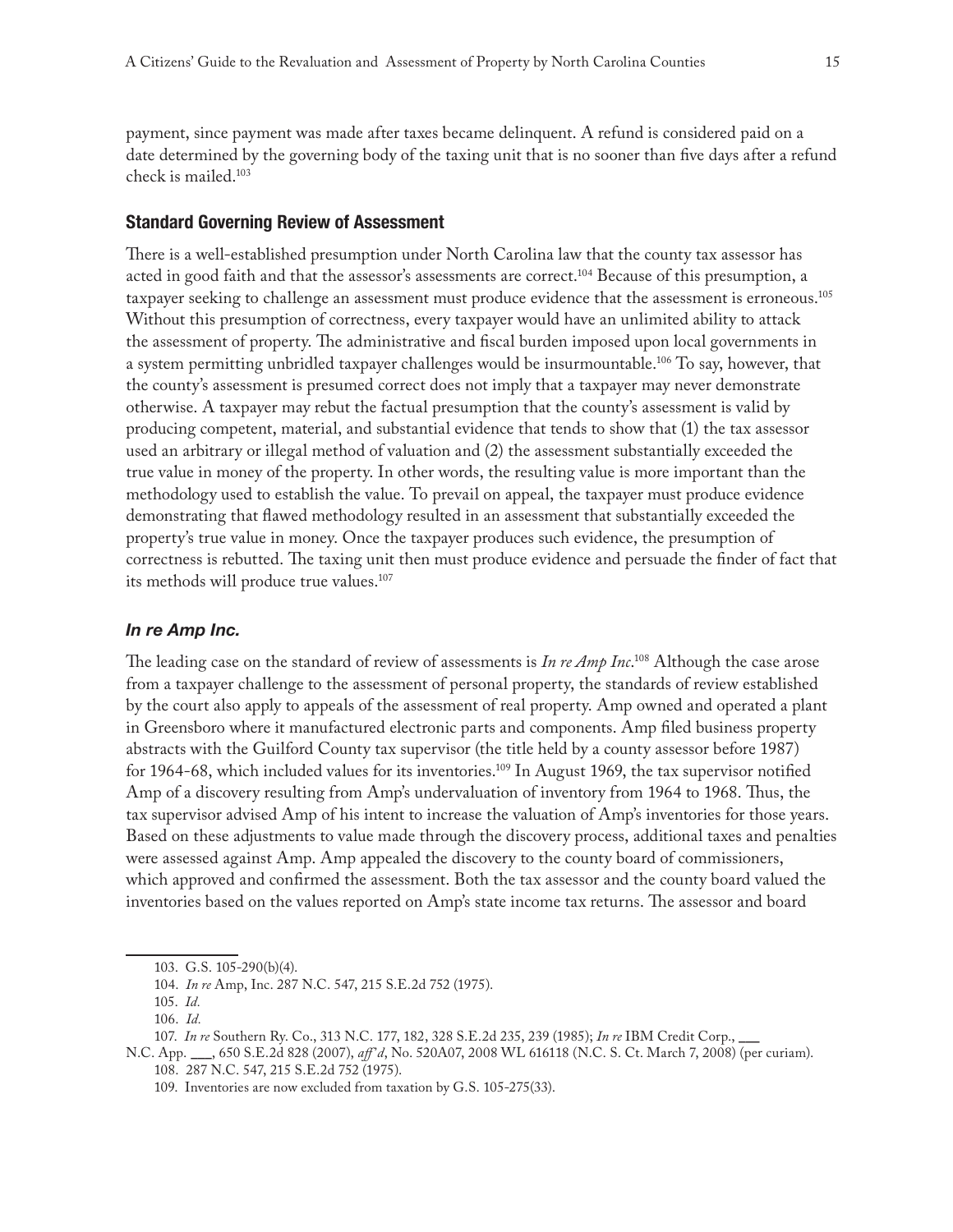payment, since payment was made after taxes became delinquent. A refund is considered paid on a date determined by the governing body of the taxing unit that is no sooner than five days after a refund check is mailed.103

# **Standard Governing Review of Assessment**

There is a well-established presumption under North Carolina law that the county tax assessor has acted in good faith and that the assessor's assessments are correct.104 Because of this presumption, a taxpayer seeking to challenge an assessment must produce evidence that the assessment is erroneous.<sup>105</sup> Without this presumption of correctness, every taxpayer would have an unlimited ability to attack the assessment of property. The administrative and fiscal burden imposed upon local governments in a system permitting unbridled taxpayer challenges would be insurmountable.106 To say, however, that the county's assessment is presumed correct does not imply that a taxpayer may never demonstrate otherwise. A taxpayer may rebut the factual presumption that the county's assessment is valid by producing competent, material, and substantial evidence that tends to show that (1) the tax assessor used an arbitrary or illegal method of valuation and (2) the assessment substantially exceeded the true value in money of the property. In other words, the resulting value is more important than the methodology used to establish the value. To prevail on appeal, the taxpayer must produce evidence demonstrating that flawed methodology resulted in an assessment that substantially exceeded the property's true value in money. Once the taxpayer produces such evidence, the presumption of correctness is rebutted. The taxing unit then must produce evidence and persuade the finder of fact that its methods will produce true values.<sup>107</sup>

#### *In re Amp Inc.*

The leading case on the standard of review of assessments is *In re Amp Inc*. 108 Although the case arose from a taxpayer challenge to the assessment of personal property, the standards of review established by the court also apply to appeals of the assessment of real property. Amp owned and operated a plant in Greensboro where it manufactured electronic parts and components. Amp filed business property abstracts with the Guilford County tax supervisor (the title held by a county assessor before 1987) for 1964-68, which included values for its inventories.109 In August 1969, the tax supervisor notified Amp of a discovery resulting from Amp's undervaluation of inventory from 1964 to 1968. Thus, the tax supervisor advised Amp of his intent to increase the valuation of Amp's inventories for those years. Based on these adjustments to value made through the discovery process, additional taxes and penalties were assessed against Amp. Amp appealed the discovery to the county board of commissioners, which approved and confirmed the assessment. Both the tax assessor and the county board valued the inventories based on the values reported on Amp's state income tax returns. The assessor and board

<sup>103.</sup> G.S. 105-290(b)(4).

<sup>104.</sup> *In re* Amp, Inc. 287 N.C. 547, 215 S.E.2d 752 (1975).

<sup>105.</sup> *Id.*

<sup>106.</sup> *Id.*

<sup>107.</sup> *In re* Southern Ry. Co., 313 N.C. 177, 182, 328 S.E.2d 235, 239 (1985); *In re* IBM Credit Corp., \_\_\_

N.C. App. \_\_\_, 650 S.E.2d 828 (2007), *aff'd*, No. 520A07, 2008 WL 616118 (N.C. S. Ct. March 7, 2008) (per curiam). 108. 287 N.C. 547, 215 S.E.2d 752 (1975).

<sup>109.</sup> Inventories are now excluded from taxation by G.S. 105-275(33).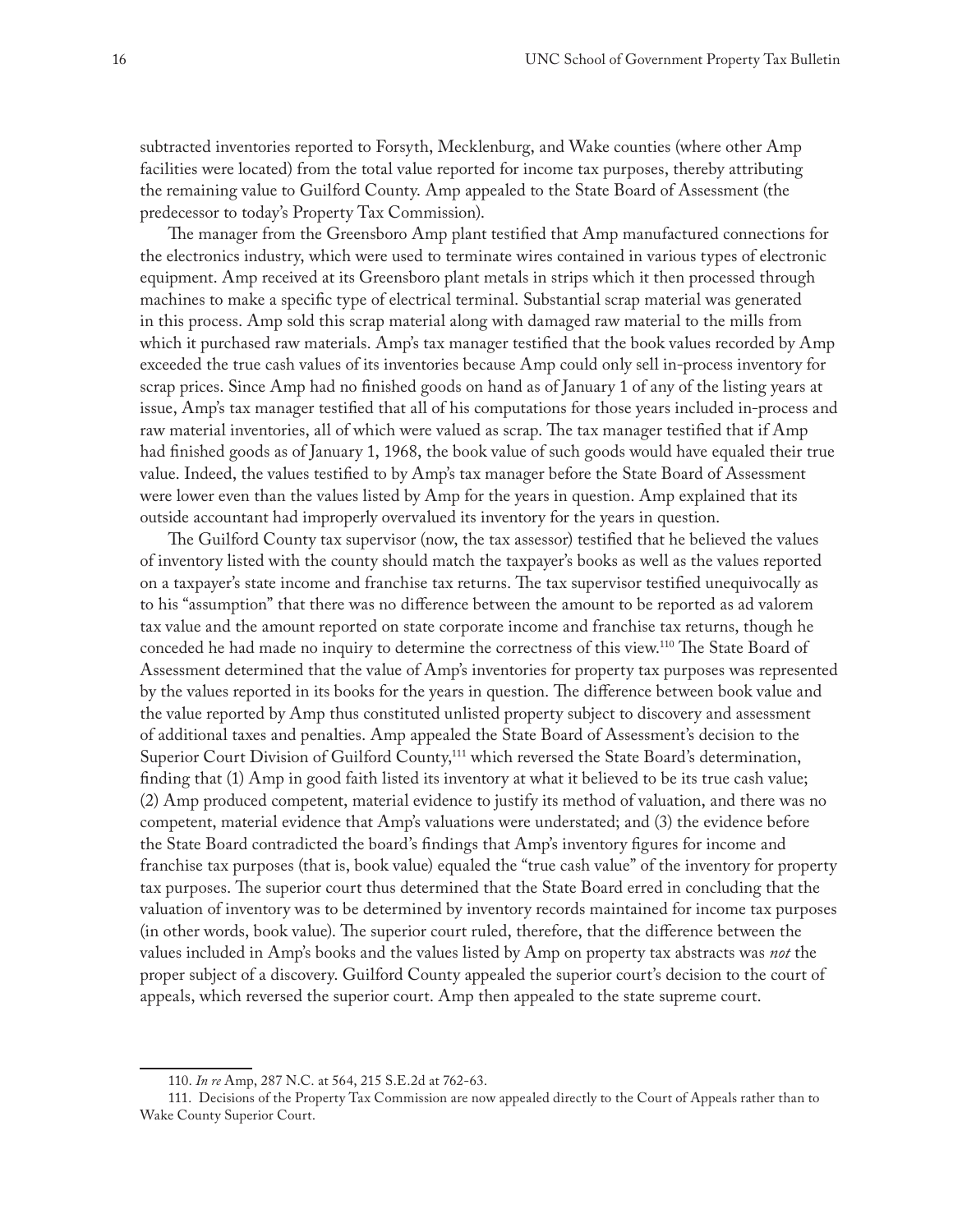subtracted inventories reported to Forsyth, Mecklenburg, and Wake counties (where other Amp facilities were located) from the total value reported for income tax purposes, thereby attributing the remaining value to Guilford County. Amp appealed to the State Board of Assessment (the predecessor to today's Property Tax Commission).

The manager from the Greensboro Amp plant testified that Amp manufactured connections for the electronics industry, which were used to terminate wires contained in various types of electronic equipment. Amp received at its Greensboro plant metals in strips which it then processed through machines to make a specific type of electrical terminal. Substantial scrap material was generated in this process. Amp sold this scrap material along with damaged raw material to the mills from which it purchased raw materials. Amp's tax manager testified that the book values recorded by Amp exceeded the true cash values of its inventories because Amp could only sell in-process inventory for scrap prices. Since Amp had no finished goods on hand as of January 1 of any of the listing years at issue, Amp's tax manager testified that all of his computations for those years included in-process and raw material inventories, all of which were valued as scrap. The tax manager testified that if Amp had finished goods as of January 1, 1968, the book value of such goods would have equaled their true value. Indeed, the values testified to by Amp's tax manager before the State Board of Assessment were lower even than the values listed by Amp for the years in question. Amp explained that its outside accountant had improperly overvalued its inventory for the years in question.

The Guilford County tax supervisor (now, the tax assessor) testified that he believed the values of inventory listed with the county should match the taxpayer's books as well as the values reported on a taxpayer's state income and franchise tax returns. The tax supervisor testified unequivocally as to his "assumption" that there was no difference between the amount to be reported as ad valorem tax value and the amount reported on state corporate income and franchise tax returns, though he conceded he had made no inquiry to determine the correctness of this view.110 The State Board of Assessment determined that the value of Amp's inventories for property tax purposes was represented by the values reported in its books for the years in question. The difference between book value and the value reported by Amp thus constituted unlisted property subject to discovery and assessment of additional taxes and penalties. Amp appealed the State Board of Assessment's decision to the Superior Court Division of Guilford County,<sup>111</sup> which reversed the State Board's determination, finding that (1) Amp in good faith listed its inventory at what it believed to be its true cash value; (2) Amp produced competent, material evidence to justify its method of valuation, and there was no competent, material evidence that Amp's valuations were understated; and (3) the evidence before the State Board contradicted the board's findings that Amp's inventory figures for income and franchise tax purposes (that is, book value) equaled the "true cash value" of the inventory for property tax purposes. The superior court thus determined that the State Board erred in concluding that the valuation of inventory was to be determined by inventory records maintained for income tax purposes (in other words, book value). The superior court ruled, therefore, that the difference between the values included in Amp's books and the values listed by Amp on property tax abstracts was *not* the proper subject of a discovery. Guilford County appealed the superior court's decision to the court of appeals, which reversed the superior court. Amp then appealed to the state supreme court.

<sup>110.</sup> *In re* Amp, 287 N.C. at 564, 215 S.E.2d at 762-63.

<sup>111.</sup> Decisions of the Property Tax Commission are now appealed directly to the Court of Appeals rather than to Wake County Superior Court.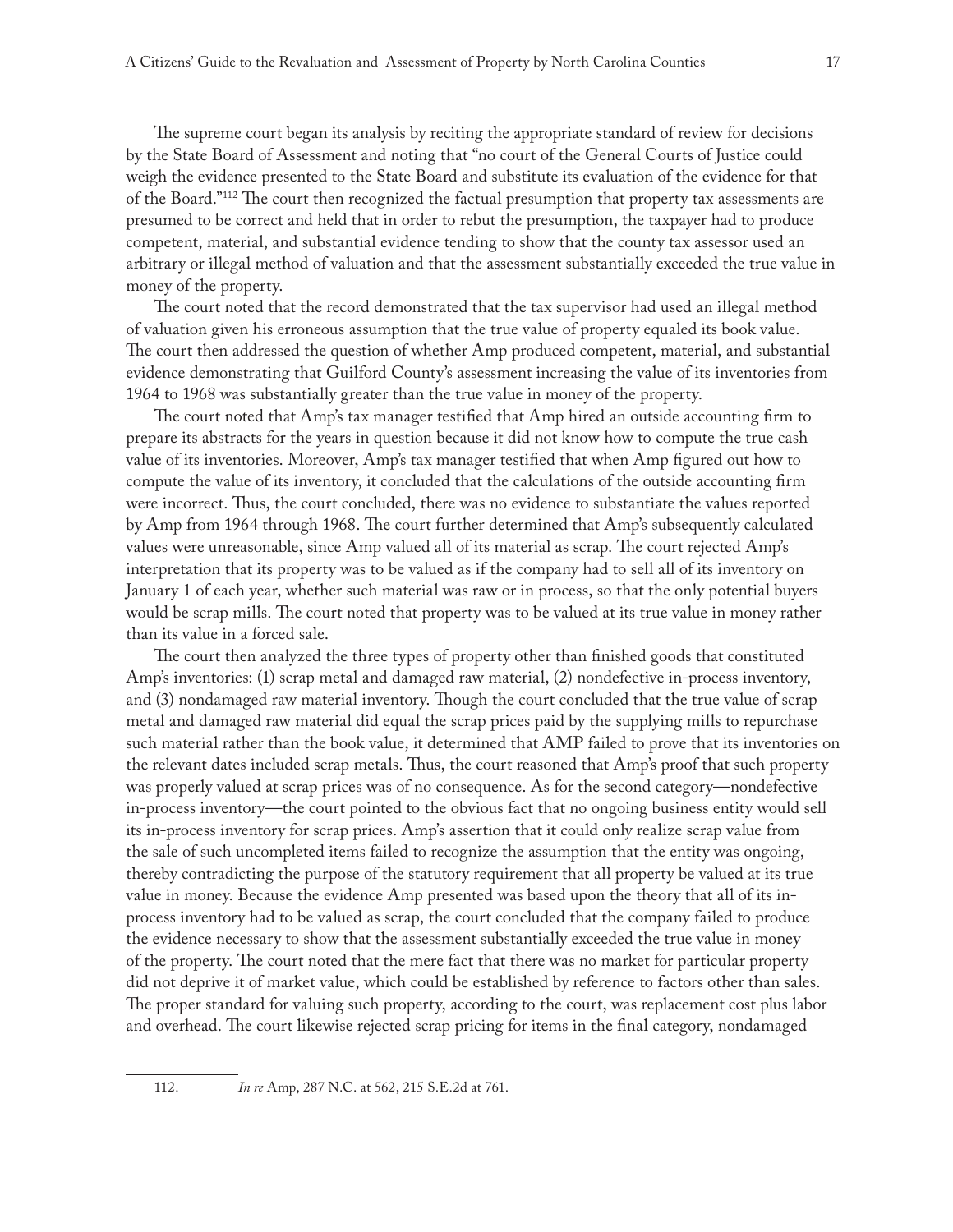The supreme court began its analysis by reciting the appropriate standard of review for decisions by the State Board of Assessment and noting that "no court of the General Courts of Justice could weigh the evidence presented to the State Board and substitute its evaluation of the evidence for that of the Board."112 The court then recognized the factual presumption that property tax assessments are presumed to be correct and held that in order to rebut the presumption, the taxpayer had to produce competent, material, and substantial evidence tending to show that the county tax assessor used an arbitrary or illegal method of valuation and that the assessment substantially exceeded the true value in money of the property.

The court noted that the record demonstrated that the tax supervisor had used an illegal method of valuation given his erroneous assumption that the true value of property equaled its book value. The court then addressed the question of whether Amp produced competent, material, and substantial evidence demonstrating that Guilford County's assessment increasing the value of its inventories from 1964 to 1968 was substantially greater than the true value in money of the property.

The court noted that Amp's tax manager testified that Amp hired an outside accounting firm to prepare its abstracts for the years in question because it did not know how to compute the true cash value of its inventories. Moreover, Amp's tax manager testified that when Amp figured out how to compute the value of its inventory, it concluded that the calculations of the outside accounting firm were incorrect. Thus, the court concluded, there was no evidence to substantiate the values reported by Amp from 1964 through 1968. The court further determined that Amp's subsequently calculated values were unreasonable, since Amp valued all of its material as scrap. The court rejected Amp's interpretation that its property was to be valued as if the company had to sell all of its inventory on January 1 of each year, whether such material was raw or in process, so that the only potential buyers would be scrap mills. The court noted that property was to be valued at its true value in money rather than its value in a forced sale.

The court then analyzed the three types of property other than finished goods that constituted Amp's inventories: (1) scrap metal and damaged raw material, (2) nondefective in-process inventory, and (3) nondamaged raw material inventory. Though the court concluded that the true value of scrap metal and damaged raw material did equal the scrap prices paid by the supplying mills to repurchase such material rather than the book value, it determined that AMP failed to prove that its inventories on the relevant dates included scrap metals. Thus, the court reasoned that Amp's proof that such property was properly valued at scrap prices was of no consequence. As for the second category—nondefective in-process inventory—the court pointed to the obvious fact that no ongoing business entity would sell its in-process inventory for scrap prices. Amp's assertion that it could only realize scrap value from the sale of such uncompleted items failed to recognize the assumption that the entity was ongoing, thereby contradicting the purpose of the statutory requirement that all property be valued at its true value in money. Because the evidence Amp presented was based upon the theory that all of its inprocess inventory had to be valued as scrap, the court concluded that the company failed to produce the evidence necessary to show that the assessment substantially exceeded the true value in money of the property. The court noted that the mere fact that there was no market for particular property did not deprive it of market value, which could be established by reference to factors other than sales. The proper standard for valuing such property, according to the court, was replacement cost plus labor and overhead. The court likewise rejected scrap pricing for items in the final category, nondamaged

<sup>112.</sup> *In re* Amp, 287 N.C. at 562, 215 S.E.2d at 761.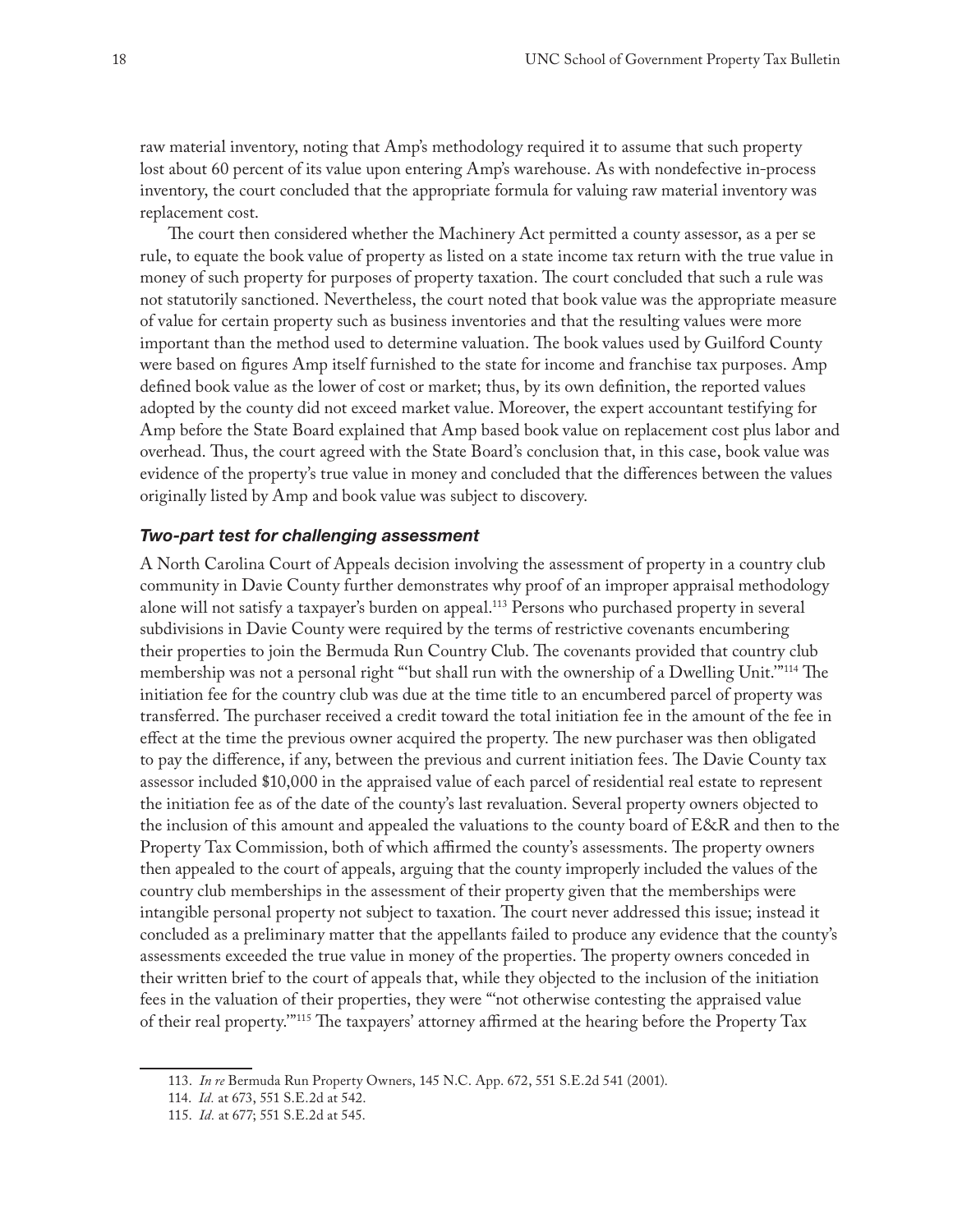raw material inventory, noting that Amp's methodology required it to assume that such property lost about 60 percent of its value upon entering Amp's warehouse. As with nondefective in-process inventory, the court concluded that the appropriate formula for valuing raw material inventory was replacement cost.

The court then considered whether the Machinery Act permitted a county assessor, as a per se rule, to equate the book value of property as listed on a state income tax return with the true value in money of such property for purposes of property taxation. The court concluded that such a rule was not statutorily sanctioned. Nevertheless, the court noted that book value was the appropriate measure of value for certain property such as business inventories and that the resulting values were more important than the method used to determine valuation. The book values used by Guilford County were based on figures Amp itself furnished to the state for income and franchise tax purposes. Amp defined book value as the lower of cost or market; thus, by its own definition, the reported values adopted by the county did not exceed market value. Moreover, the expert accountant testifying for Amp before the State Board explained that Amp based book value on replacement cost plus labor and overhead. Thus, the court agreed with the State Board's conclusion that, in this case, book value was evidence of the property's true value in money and concluded that the differences between the values originally listed by Amp and book value was subject to discovery.

#### *Two-part test for challenging assessment*

A North Carolina Court of Appeals decision involving the assessment of property in a country club community in Davie County further demonstrates why proof of an improper appraisal methodology alone will not satisfy a taxpayer's burden on appeal.<sup>113</sup> Persons who purchased property in several subdivisions in Davie County were required by the terms of restrictive covenants encumbering their properties to join the Bermuda Run Country Club. The covenants provided that country club membership was not a personal right "'but shall run with the ownership of a Dwelling Unit.'"114 The initiation fee for the country club was due at the time title to an encumbered parcel of property was transferred. The purchaser received a credit toward the total initiation fee in the amount of the fee in effect at the time the previous owner acquired the property. The new purchaser was then obligated to pay the difference, if any, between the previous and current initiation fees. The Davie County tax assessor included \$10,000 in the appraised value of each parcel of residential real estate to represent the initiation fee as of the date of the county's last revaluation. Several property owners objected to the inclusion of this amount and appealed the valuations to the county board of E&R and then to the Property Tax Commission, both of which affirmed the county's assessments. The property owners then appealed to the court of appeals, arguing that the county improperly included the values of the country club memberships in the assessment of their property given that the memberships were intangible personal property not subject to taxation. The court never addressed this issue; instead it concluded as a preliminary matter that the appellants failed to produce any evidence that the county's assessments exceeded the true value in money of the properties. The property owners conceded in their written brief to the court of appeals that, while they objected to the inclusion of the initiation fees in the valuation of their properties, they were "'not otherwise contesting the appraised value of their real property.'"115 The taxpayers' attorney affirmed at the hearing before the Property Tax

<sup>113.</sup> *In re* Bermuda Run Property Owners, 145 N.C. App. 672, 551 S.E.2d 541 (2001).

<sup>114.</sup> *Id.* at 673, 551 S.E.2d at 542.

<sup>115.</sup> *Id.* at 677; 551 S.E.2d at 545.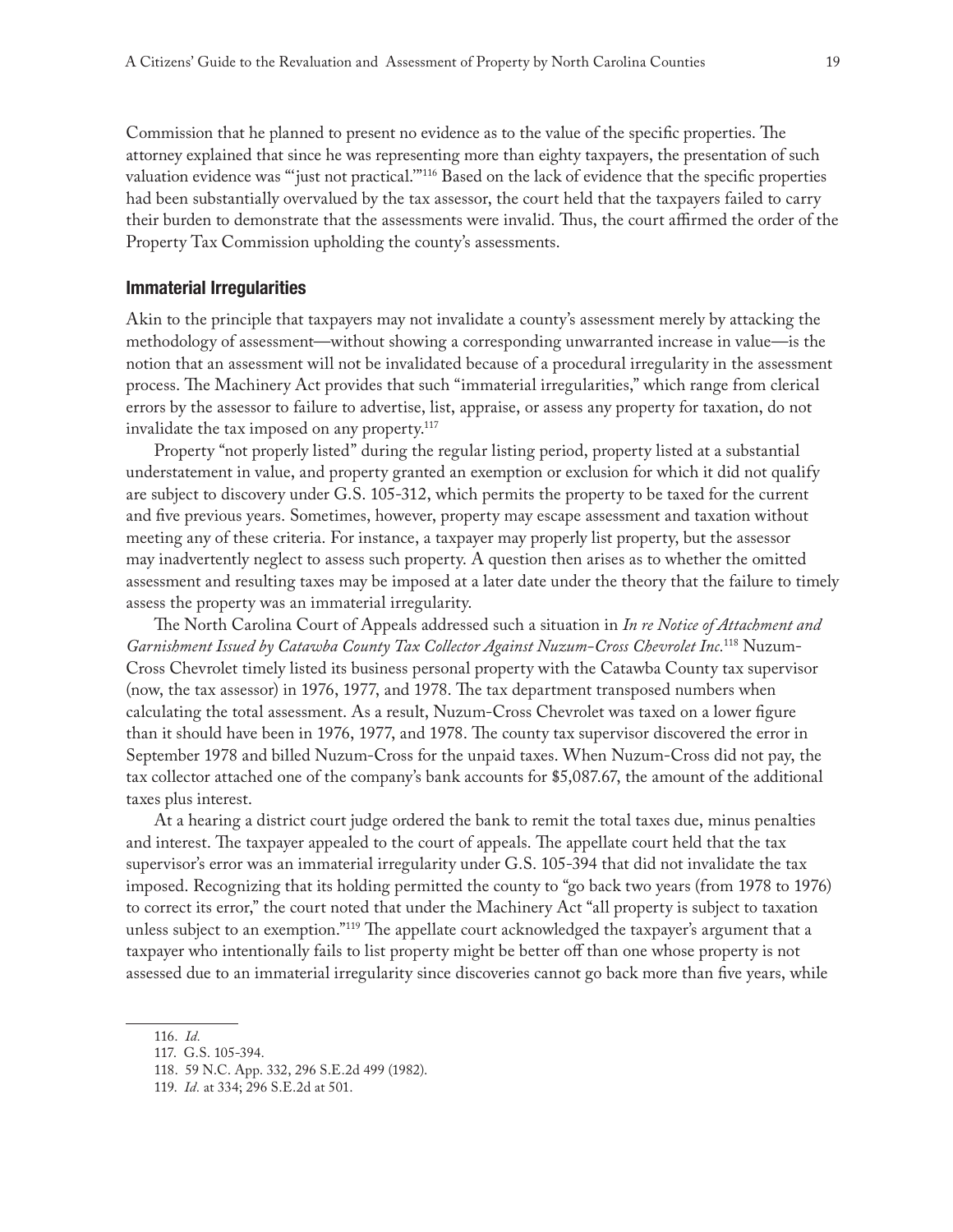Commission that he planned to present no evidence as to the value of the specific properties. The attorney explained that since he was representing more than eighty taxpayers, the presentation of such valuation evidence was "'just not practical.'"116 Based on the lack of evidence that the specific properties had been substantially overvalued by the tax assessor, the court held that the taxpayers failed to carry their burden to demonstrate that the assessments were invalid. Thus, the court affirmed the order of the Property Tax Commission upholding the county's assessments.

#### **Immaterial Irregularities**

Akin to the principle that taxpayers may not invalidate a county's assessment merely by attacking the methodology of assessment—without showing a corresponding unwarranted increase in value—is the notion that an assessment will not be invalidated because of a procedural irregularity in the assessment process. The Machinery Act provides that such "immaterial irregularities," which range from clerical errors by the assessor to failure to advertise, list, appraise, or assess any property for taxation, do not invalidate the tax imposed on any property.117

Property "not properly listed" during the regular listing period, property listed at a substantial understatement in value, and property granted an exemption or exclusion for which it did not qualify are subject to discovery under G.S. 105-312, which permits the property to be taxed for the current and five previous years. Sometimes, however, property may escape assessment and taxation without meeting any of these criteria. For instance, a taxpayer may properly list property, but the assessor may inadvertently neglect to assess such property. A question then arises as to whether the omitted assessment and resulting taxes may be imposed at a later date under the theory that the failure to timely assess the property was an immaterial irregularity.

The North Carolina Court of Appeals addressed such a situation in *In re Notice of Attachment and Garnishment Issued by Catawba County Tax Collector Against Nuzum-Cross Chevrolet Inc.*118 Nuzum-Cross Chevrolet timely listed its business personal property with the Catawba County tax supervisor (now, the tax assessor) in 1976, 1977, and 1978. The tax department transposed numbers when calculating the total assessment. As a result, Nuzum-Cross Chevrolet was taxed on a lower figure than it should have been in 1976, 1977, and 1978. The county tax supervisor discovered the error in September 1978 and billed Nuzum-Cross for the unpaid taxes. When Nuzum-Cross did not pay, the tax collector attached one of the company's bank accounts for \$5,087.67, the amount of the additional taxes plus interest.

At a hearing a district court judge ordered the bank to remit the total taxes due, minus penalties and interest. The taxpayer appealed to the court of appeals. The appellate court held that the tax supervisor's error was an immaterial irregularity under G.S. 105-394 that did not invalidate the tax imposed. Recognizing that its holding permitted the county to "go back two years (from 1978 to 1976) to correct its error," the court noted that under the Machinery Act "all property is subject to taxation unless subject to an exemption."119 The appellate court acknowledged the taxpayer's argument that a taxpayer who intentionally fails to list property might be better off than one whose property is not assessed due to an immaterial irregularity since discoveries cannot go back more than five years, while

<sup>116.</sup> *Id.*

<sup>117.</sup> G.S. 105-394.

<sup>118.</sup> 59 N.C. App. 332, 296 S.E.2d 499 (1982).

<sup>119.</sup> *Id.* at 334; 296 S.E.2d at 501.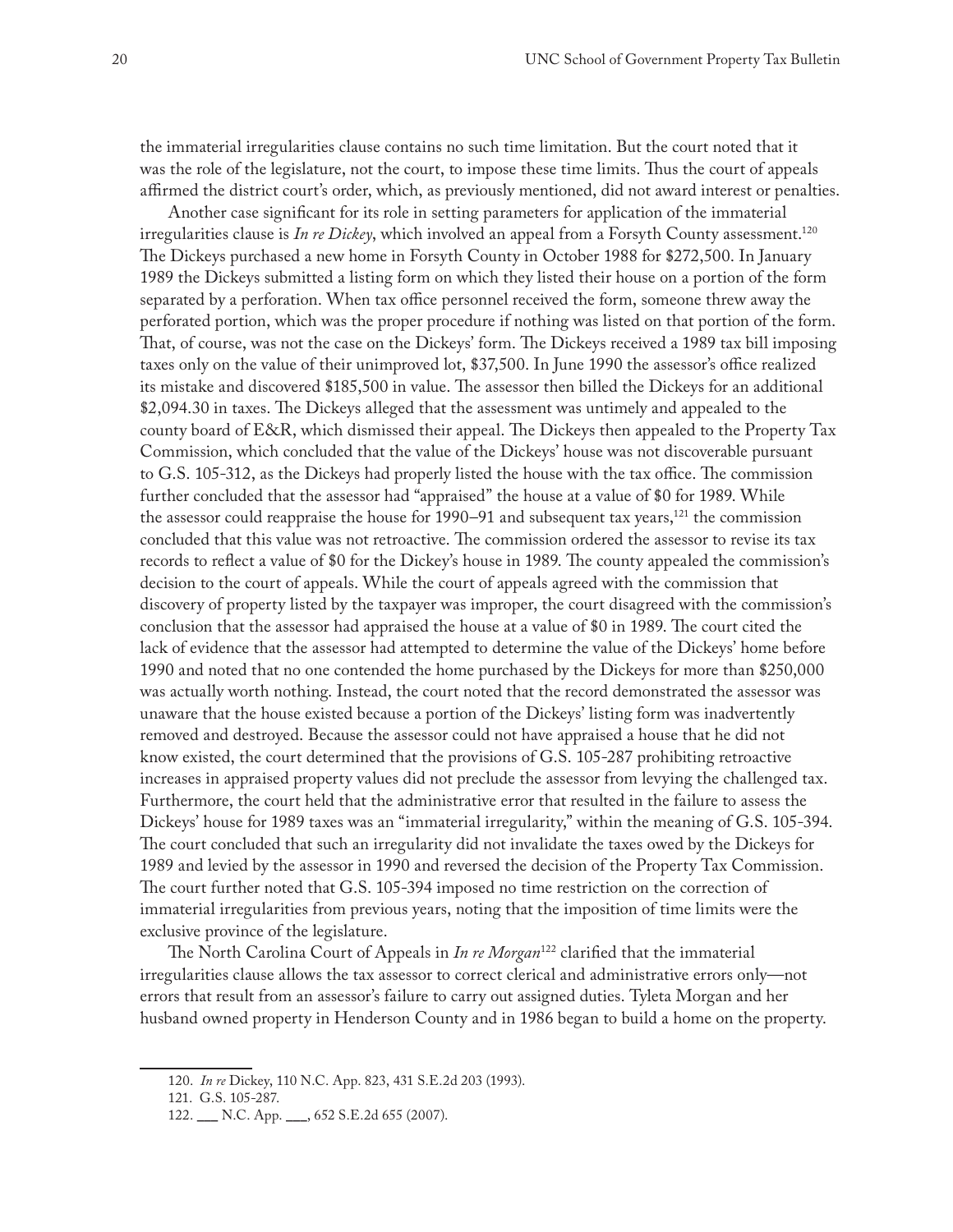the immaterial irregularities clause contains no such time limitation. But the court noted that it was the role of the legislature, not the court, to impose these time limits. Thus the court of appeals affirmed the district court's order, which, as previously mentioned, did not award interest or penalties.

Another case significant for its role in setting parameters for application of the immaterial irregularities clause is *In re Dickey*, which involved an appeal from a Forsyth County assessment.120 The Dickeys purchased a new home in Forsyth County in October 1988 for \$272,500. In January 1989 the Dickeys submitted a listing form on which they listed their house on a portion of the form separated by a perforation. When tax office personnel received the form, someone threw away the perforated portion, which was the proper procedure if nothing was listed on that portion of the form. That, of course, was not the case on the Dickeys' form. The Dickeys received a 1989 tax bill imposing taxes only on the value of their unimproved lot, \$37,500. In June 1990 the assessor's office realized its mistake and discovered \$185,500 in value. The assessor then billed the Dickeys for an additional \$2,094.30 in taxes. The Dickeys alleged that the assessment was untimely and appealed to the county board of E&R, which dismissed their appeal. The Dickeys then appealed to the Property Tax Commission, which concluded that the value of the Dickeys' house was not discoverable pursuant to G.S. 105-312, as the Dickeys had properly listed the house with the tax office. The commission further concluded that the assessor had "appraised" the house at a value of \$0 for 1989. While the assessor could reappraise the house for  $1990-91$  and subsequent tax years,<sup>121</sup> the commission concluded that this value was not retroactive. The commission ordered the assessor to revise its tax records to reflect a value of \$0 for the Dickey's house in 1989. The county appealed the commission's decision to the court of appeals. While the court of appeals agreed with the commission that discovery of property listed by the taxpayer was improper, the court disagreed with the commission's conclusion that the assessor had appraised the house at a value of \$0 in 1989. The court cited the lack of evidence that the assessor had attempted to determine the value of the Dickeys' home before 1990 and noted that no one contended the home purchased by the Dickeys for more than \$250,000 was actually worth nothing. Instead, the court noted that the record demonstrated the assessor was unaware that the house existed because a portion of the Dickeys' listing form was inadvertently removed and destroyed. Because the assessor could not have appraised a house that he did not know existed, the court determined that the provisions of G.S. 105-287 prohibiting retroactive increases in appraised property values did not preclude the assessor from levying the challenged tax. Furthermore, the court held that the administrative error that resulted in the failure to assess the Dickeys' house for 1989 taxes was an "immaterial irregularity," within the meaning of G.S. 105-394. The court concluded that such an irregularity did not invalidate the taxes owed by the Dickeys for 1989 and levied by the assessor in 1990 and reversed the decision of the Property Tax Commission. The court further noted that G.S. 105-394 imposed no time restriction on the correction of immaterial irregularities from previous years, noting that the imposition of time limits were the exclusive province of the legislature.

The North Carolina Court of Appeals in *In re Morgan*122 clarified that the immaterial irregularities clause allows the tax assessor to correct clerical and administrative errors only—not errors that result from an assessor's failure to carry out assigned duties. Tyleta Morgan and her husband owned property in Henderson County and in 1986 began to build a home on the property.

<sup>120.</sup> *In re* Dickey, 110 N.C. App. 823, 431 S.E.2d 203 (1993).

<sup>121.</sup> G.S. 105-287.

<sup>122.</sup> \_\_\_ N.C. App. \_\_\_, 652 S.E.2d 655 (2007).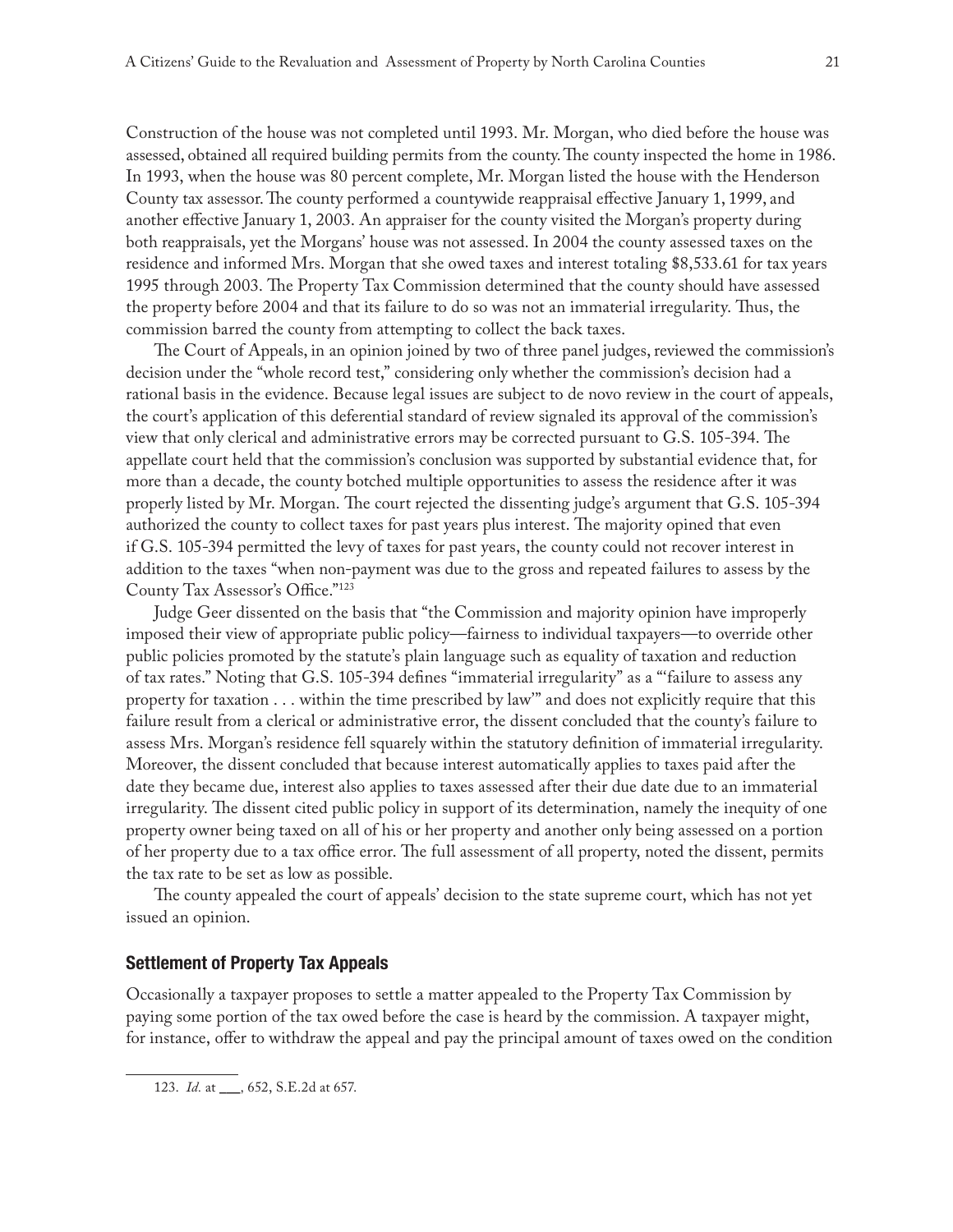Construction of the house was not completed until 1993. Mr. Morgan, who died before the house was assessed, obtained all required building permits from the county. The county inspected the home in 1986. In 1993, when the house was 80 percent complete, Mr. Morgan listed the house with the Henderson County tax assessor. The county performed a countywide reappraisal effective January 1, 1999, and another effective January 1, 2003. An appraiser for the county visited the Morgan's property during both reappraisals, yet the Morgans' house was not assessed. In 2004 the county assessed taxes on the residence and informed Mrs. Morgan that she owed taxes and interest totaling \$8,533.61 for tax years 1995 through 2003. The Property Tax Commission determined that the county should have assessed the property before 2004 and that its failure to do so was not an immaterial irregularity. Thus, the commission barred the county from attempting to collect the back taxes.

The Court of Appeals, in an opinion joined by two of three panel judges, reviewed the commission's decision under the "whole record test," considering only whether the commission's decision had a rational basis in the evidence. Because legal issues are subject to de novo review in the court of appeals, the court's application of this deferential standard of review signaled its approval of the commission's view that only clerical and administrative errors may be corrected pursuant to G.S. 105-394. The appellate court held that the commission's conclusion was supported by substantial evidence that, for more than a decade, the county botched multiple opportunities to assess the residence after it was properly listed by Mr. Morgan. The court rejected the dissenting judge's argument that G.S. 105-394 authorized the county to collect taxes for past years plus interest. The majority opined that even if G.S. 105-394 permitted the levy of taxes for past years, the county could not recover interest in addition to the taxes "when non-payment was due to the gross and repeated failures to assess by the County Tax Assessor's Office."123

Judge Geer dissented on the basis that "the Commission and majority opinion have improperly imposed their view of appropriate public policy—fairness to individual taxpayers—to override other public policies promoted by the statute's plain language such as equality of taxation and reduction of tax rates." Noting that G.S. 105-394 defines "immaterial irregularity" as a "'failure to assess any property for taxation . . . within the time prescribed by law'" and does not explicitly require that this failure result from a clerical or administrative error, the dissent concluded that the county's failure to assess Mrs. Morgan's residence fell squarely within the statutory definition of immaterial irregularity. Moreover, the dissent concluded that because interest automatically applies to taxes paid after the date they became due, interest also applies to taxes assessed after their due date due to an immaterial irregularity. The dissent cited public policy in support of its determination, namely the inequity of one property owner being taxed on all of his or her property and another only being assessed on a portion of her property due to a tax office error. The full assessment of all property, noted the dissent, permits the tax rate to be set as low as possible.

The county appealed the court of appeals' decision to the state supreme court, which has not yet issued an opinion.

# **Settlement of Property Tax Appeals**

Occasionally a taxpayer proposes to settle a matter appealed to the Property Tax Commission by paying some portion of the tax owed before the case is heard by the commission. A taxpayer might, for instance, offer to withdraw the appeal and pay the principal amount of taxes owed on the condition

123. *Id.* at \_\_\_, 652, S.E.2d at 657.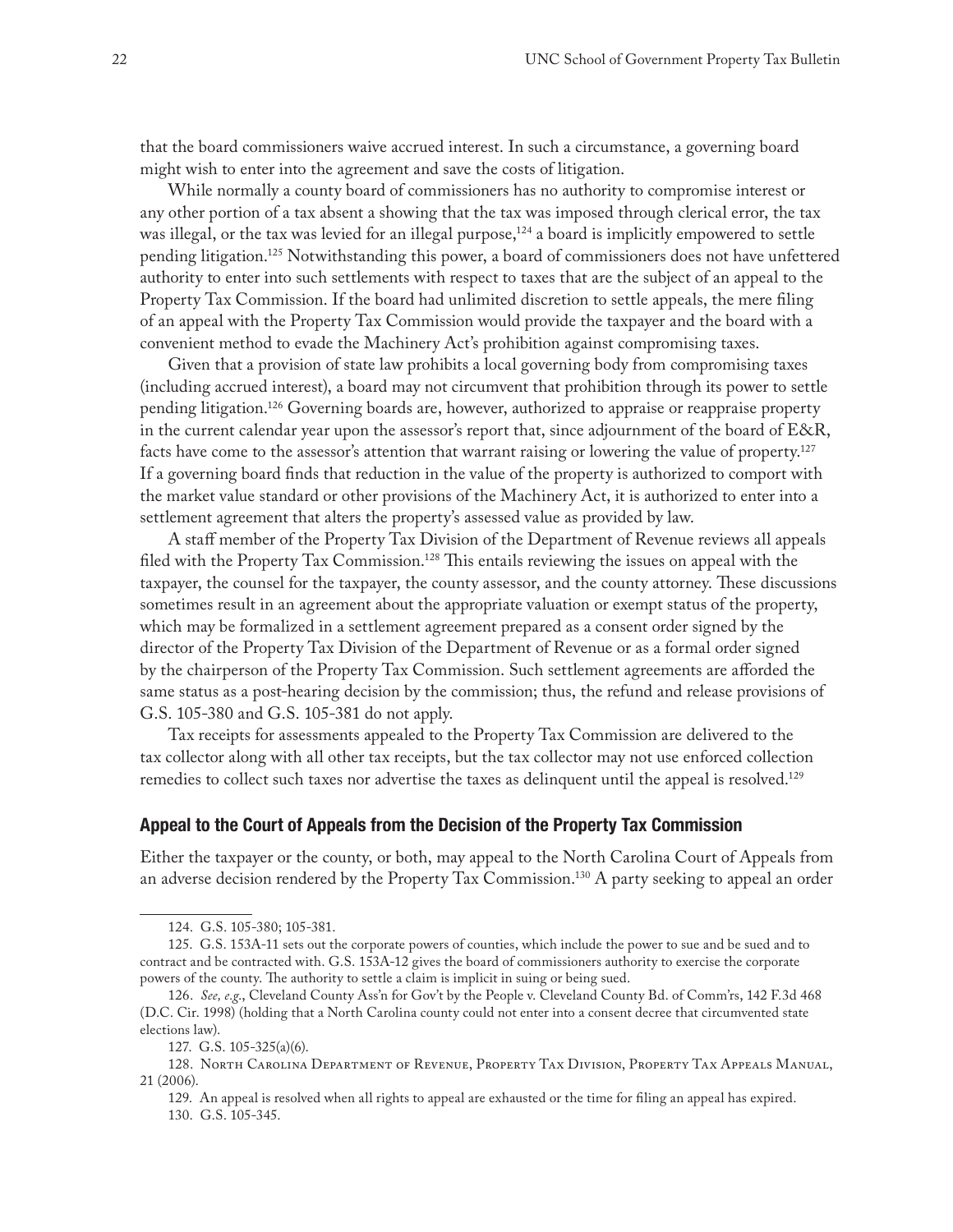that the board commissioners waive accrued interest. In such a circumstance, a governing board might wish to enter into the agreement and save the costs of litigation.

While normally a county board of commissioners has no authority to compromise interest or any other portion of a tax absent a showing that the tax was imposed through clerical error, the tax was illegal, or the tax was levied for an illegal purpose,<sup>124</sup> a board is implicitly empowered to settle pending litigation.<sup>125</sup> Notwithstanding this power, a board of commissioners does not have unfettered authority to enter into such settlements with respect to taxes that are the subject of an appeal to the Property Tax Commission. If the board had unlimited discretion to settle appeals, the mere filing of an appeal with the Property Tax Commission would provide the taxpayer and the board with a convenient method to evade the Machinery Act's prohibition against compromising taxes.

Given that a provision of state law prohibits a local governing body from compromising taxes (including accrued interest), a board may not circumvent that prohibition through its power to settle pending litigation.126 Governing boards are, however, authorized to appraise or reappraise property in the current calendar year upon the assessor's report that, since adjournment of the board of E&R, facts have come to the assessor's attention that warrant raising or lowering the value of property.<sup>127</sup> If a governing board finds that reduction in the value of the property is authorized to comport with the market value standard or other provisions of the Machinery Act, it is authorized to enter into a settlement agreement that alters the property's assessed value as provided by law.

A staff member of the Property Tax Division of the Department of Revenue reviews all appeals filed with the Property Tax Commission.128 This entails reviewing the issues on appeal with the taxpayer, the counsel for the taxpayer, the county assessor, and the county attorney. These discussions sometimes result in an agreement about the appropriate valuation or exempt status of the property, which may be formalized in a settlement agreement prepared as a consent order signed by the director of the Property Tax Division of the Department of Revenue or as a formal order signed by the chairperson of the Property Tax Commission. Such settlement agreements are afforded the same status as a post-hearing decision by the commission; thus, the refund and release provisions of G.S. 105-380 and G.S. 105-381 do not apply.

Tax receipts for assessments appealed to the Property Tax Commission are delivered to the tax collector along with all other tax receipts, but the tax collector may not use enforced collection remedies to collect such taxes nor advertise the taxes as delinquent until the appeal is resolved.129

#### **Appeal to the Court of Appeals from the Decision of the Property Tax Commission**

Either the taxpayer or the county, or both, may appeal to the North Carolina Court of Appeals from an adverse decision rendered by the Property Tax Commission.130 A party seeking to appeal an order

<sup>124.</sup> G.S. 105-380; 105-381.

<sup>125.</sup> G.S. 153A-11 sets out the corporate powers of counties, which include the power to sue and be sued and to contract and be contracted with. G.S. 153A-12 gives the board of commissioners authority to exercise the corporate powers of the county. The authority to settle a claim is implicit in suing or being sued.

<sup>126.</sup> *See, e.g*., Cleveland County Ass'n for Gov't by the People v. Cleveland County Bd. of Comm'rs, 142 F.3d 468 (D.C. Cir. 1998) (holding that a North Carolina county could not enter into a consent decree that circumvented state elections law).

<sup>127.</sup> G.S. 105-325(a)(6).

<sup>128.</sup> North Carolina Department of Revenue, Property Tax Division, Property Tax Appeals Manual, 21 (2006).

<sup>129.</sup> An appeal is resolved when all rights to appeal are exhausted or the time for filing an appeal has expired. 130. G.S. 105-345.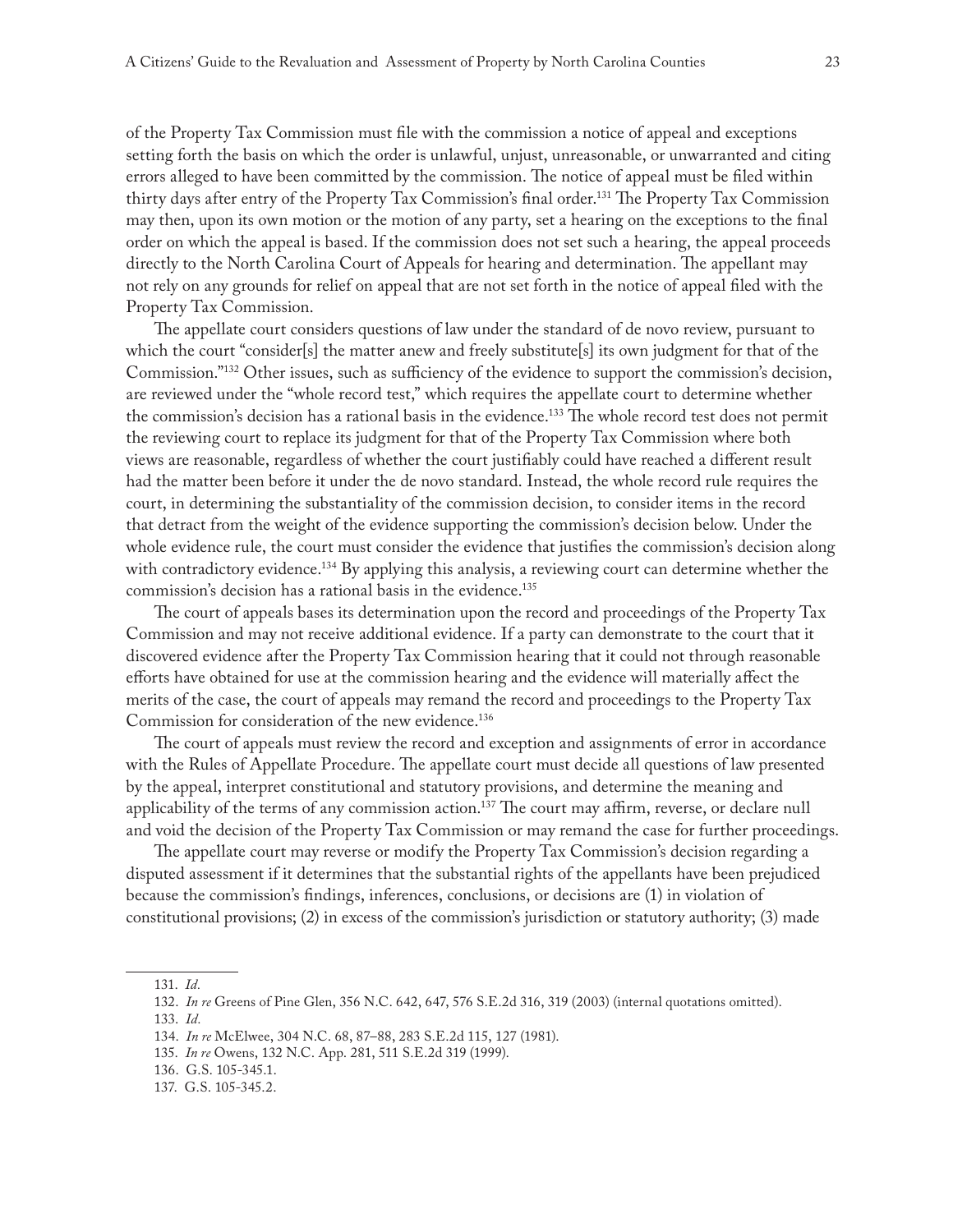of the Property Tax Commission must file with the commission a notice of appeal and exceptions setting forth the basis on which the order is unlawful, unjust, unreasonable, or unwarranted and citing errors alleged to have been committed by the commission. The notice of appeal must be filed within thirty days after entry of the Property Tax Commission's final order.131 The Property Tax Commission may then, upon its own motion or the motion of any party, set a hearing on the exceptions to the final order on which the appeal is based. If the commission does not set such a hearing, the appeal proceeds directly to the North Carolina Court of Appeals for hearing and determination. The appellant may not rely on any grounds for relief on appeal that are not set forth in the notice of appeal filed with the Property Tax Commission.

The appellate court considers questions of law under the standard of de novo review, pursuant to which the court "consider[s] the matter anew and freely substitute[s] its own judgment for that of the Commission."132 Other issues, such as sufficiency of the evidence to support the commission's decision, are reviewed under the "whole record test," which requires the appellate court to determine whether the commission's decision has a rational basis in the evidence.<sup>133</sup> The whole record test does not permit the reviewing court to replace its judgment for that of the Property Tax Commission where both views are reasonable, regardless of whether the court justifiably could have reached a different result had the matter been before it under the de novo standard. Instead, the whole record rule requires the court, in determining the substantiality of the commission decision, to consider items in the record that detract from the weight of the evidence supporting the commission's decision below. Under the whole evidence rule, the court must consider the evidence that justifies the commission's decision along with contradictory evidence.<sup>134</sup> By applying this analysis, a reviewing court can determine whether the commission's decision has a rational basis in the evidence.<sup>135</sup>

The court of appeals bases its determination upon the record and proceedings of the Property Tax Commission and may not receive additional evidence. If a party can demonstrate to the court that it discovered evidence after the Property Tax Commission hearing that it could not through reasonable efforts have obtained for use at the commission hearing and the evidence will materially affect the merits of the case, the court of appeals may remand the record and proceedings to the Property Tax Commission for consideration of the new evidence.<sup>136</sup>

The court of appeals must review the record and exception and assignments of error in accordance with the Rules of Appellate Procedure. The appellate court must decide all questions of law presented by the appeal, interpret constitutional and statutory provisions, and determine the meaning and applicability of the terms of any commission action.137 The court may affirm, reverse, or declare null and void the decision of the Property Tax Commission or may remand the case for further proceedings.

The appellate court may reverse or modify the Property Tax Commission's decision regarding a disputed assessment if it determines that the substantial rights of the appellants have been prejudiced because the commission's findings, inferences, conclusions, or decisions are (1) in violation of constitutional provisions; (2) in excess of the commission's jurisdiction or statutory authority; (3) made

- 135. *In re* Owens, 132 N.C. App. 281, 511 S.E.2d 319 (1999).
- 136. G.S. 105-345.1.

<sup>131.</sup> *Id.*

<sup>132.</sup> *In re* Greens of Pine Glen, 356 N.C. 642, 647, 576 S.E.2d 316, 319 (2003) (internal quotations omitted).

<sup>133.</sup> *Id.*

<sup>134.</sup> *In re* McElwee, 304 N.C. 68, 87–88, 283 S.E.2d 115, 127 (1981).

<sup>137.</sup> G.S. 105-345.2.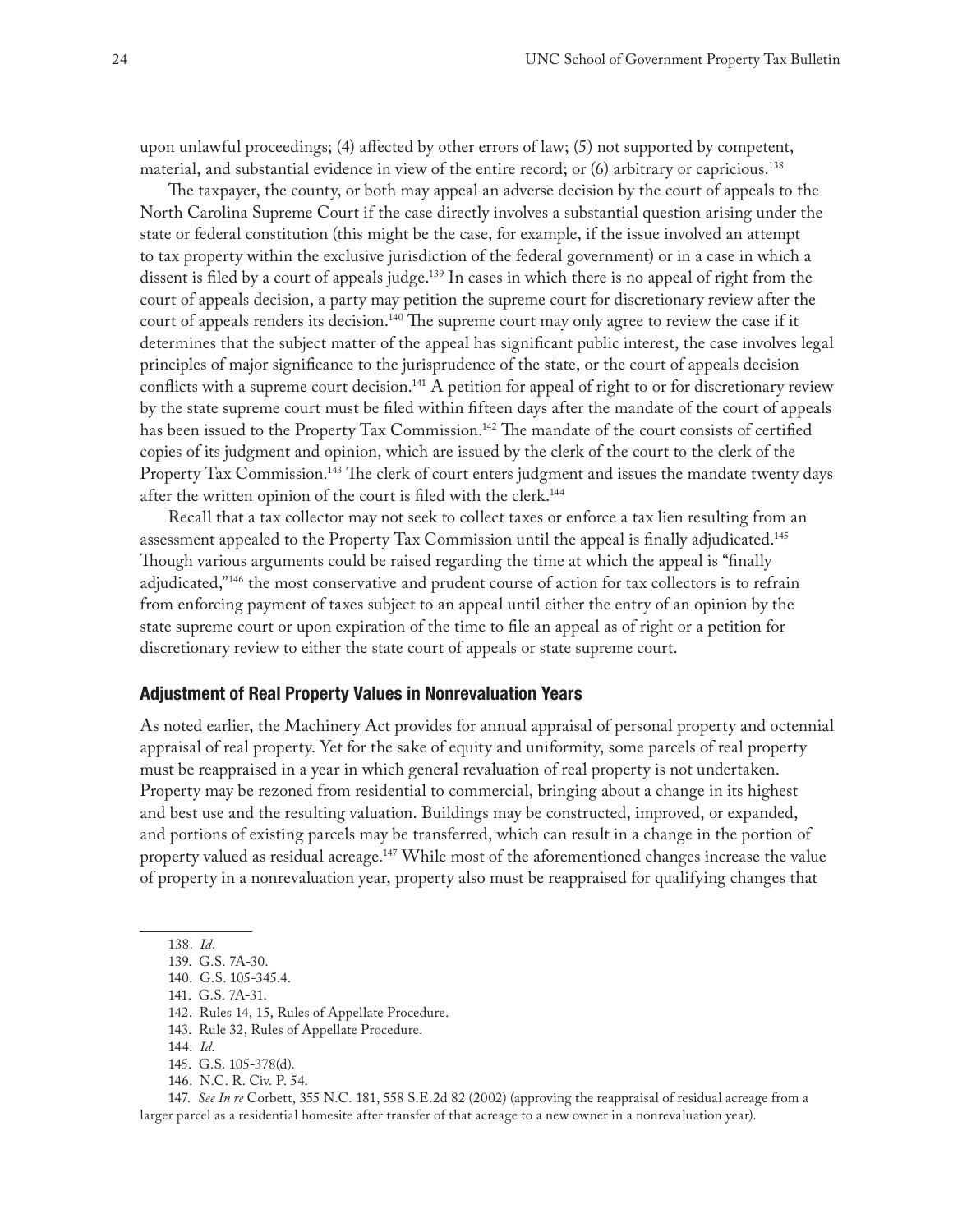upon unlawful proceedings; (4) affected by other errors of law; (5) not supported by competent, material, and substantial evidence in view of the entire record; or (6) arbitrary or capricious.138

The taxpayer, the county, or both may appeal an adverse decision by the court of appeals to the North Carolina Supreme Court if the case directly involves a substantial question arising under the state or federal constitution (this might be the case, for example, if the issue involved an attempt to tax property within the exclusive jurisdiction of the federal government) or in a case in which a dissent is filed by a court of appeals judge.<sup>139</sup> In cases in which there is no appeal of right from the court of appeals decision, a party may petition the supreme court for discretionary review after the court of appeals renders its decision.<sup>140</sup> The supreme court may only agree to review the case if it determines that the subject matter of the appeal has significant public interest, the case involves legal principles of major significance to the jurisprudence of the state, or the court of appeals decision conflicts with a supreme court decision.<sup>141</sup> A petition for appeal of right to or for discretionary review by the state supreme court must be filed within fifteen days after the mandate of the court of appeals has been issued to the Property Tax Commission.<sup>142</sup> The mandate of the court consists of certified copies of its judgment and opinion, which are issued by the clerk of the court to the clerk of the Property Tax Commission.<sup>143</sup> The clerk of court enters judgment and issues the mandate twenty days after the written opinion of the court is filed with the clerk.<sup>144</sup>

Recall that a tax collector may not seek to collect taxes or enforce a tax lien resulting from an assessment appealed to the Property Tax Commission until the appeal is finally adjudicated.145 Though various arguments could be raised regarding the time at which the appeal is "finally adjudicated,"<sup>146</sup> the most conservative and prudent course of action for tax collectors is to refrain from enforcing payment of taxes subject to an appeal until either the entry of an opinion by the state supreme court or upon expiration of the time to file an appeal as of right or a petition for discretionary review to either the state court of appeals or state supreme court.

# **Adjustment of Real Property Values in Nonrevaluation Years**

As noted earlier, the Machinery Act provides for annual appraisal of personal property and octennial appraisal of real property. Yet for the sake of equity and uniformity, some parcels of real property must be reappraised in a year in which general revaluation of real property is not undertaken. Property may be rezoned from residential to commercial, bringing about a change in its highest and best use and the resulting valuation. Buildings may be constructed, improved, or expanded, and portions of existing parcels may be transferred, which can result in a change in the portion of property valued as residual acreage.<sup>147</sup> While most of the aforementioned changes increase the value of property in a nonrevaluation year, property also must be reappraised for qualifying changes that

141. G.S. 7A-31.

146. N.C. R. Civ. P. 54.

147. *See In re* Corbett, 355 N.C. 181, 558 S.E.2d 82 (2002) (approving the reappraisal of residual acreage from a larger parcel as a residential homesite after transfer of that acreage to a new owner in a nonrevaluation year).

<sup>138.</sup> *Id*.

<sup>139.</sup> G.S. 7A-30.

<sup>140.</sup> G.S. 105-345.4.

<sup>142.</sup> Rules 14, 15, Rules of Appellate Procedure.

<sup>143.</sup> Rule 32, Rules of Appellate Procedure.

<sup>144.</sup> *Id.*

<sup>145.</sup> G.S. 105-378(d).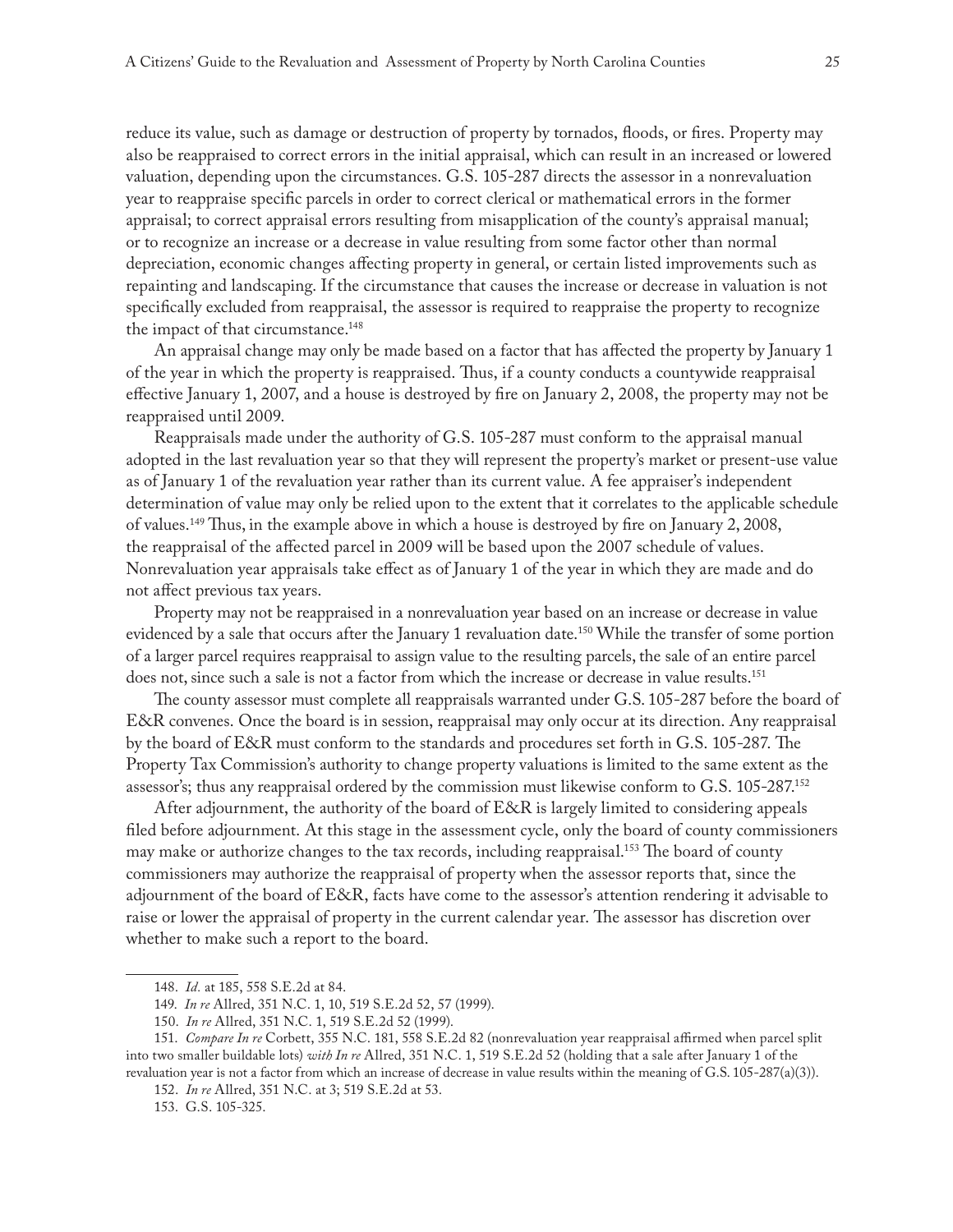reduce its value, such as damage or destruction of property by tornados, floods, or fires. Property may also be reappraised to correct errors in the initial appraisal, which can result in an increased or lowered valuation, depending upon the circumstances. G.S. 105-287 directs the assessor in a nonrevaluation year to reappraise specific parcels in order to correct clerical or mathematical errors in the former appraisal; to correct appraisal errors resulting from misapplication of the county's appraisal manual; or to recognize an increase or a decrease in value resulting from some factor other than normal depreciation, economic changes affecting property in general, or certain listed improvements such as repainting and landscaping. If the circumstance that causes the increase or decrease in valuation is not specifically excluded from reappraisal, the assessor is required to reappraise the property to recognize the impact of that circumstance.<sup>148</sup>

An appraisal change may only be made based on a factor that has affected the property by January 1 of the year in which the property is reappraised. Thus, if a county conducts a countywide reappraisal effective January 1, 2007, and a house is destroyed by fire on January 2, 2008, the property may not be reappraised until 2009.

Reappraisals made under the authority of G.S. 105-287 must conform to the appraisal manual adopted in the last revaluation year so that they will represent the property's market or present-use value as of January 1 of the revaluation year rather than its current value. A fee appraiser's independent determination of value may only be relied upon to the extent that it correlates to the applicable schedule of values.149 Thus, in the example above in which a house is destroyed by fire on January 2, 2008, the reappraisal of the affected parcel in 2009 will be based upon the 2007 schedule of values. Nonrevaluation year appraisals take effect as of January 1 of the year in which they are made and do not affect previous tax years.

Property may not be reappraised in a nonrevaluation year based on an increase or decrease in value evidenced by a sale that occurs after the January 1 revaluation date.<sup>150</sup> While the transfer of some portion of a larger parcel requires reappraisal to assign value to the resulting parcels, the sale of an entire parcel does not, since such a sale is not a factor from which the increase or decrease in value results.<sup>151</sup>

The county assessor must complete all reappraisals warranted under G.S. 105-287 before the board of E&R convenes. Once the board is in session, reappraisal may only occur at its direction. Any reappraisal by the board of E&R must conform to the standards and procedures set forth in G.S. 105-287. The Property Tax Commission's authority to change property valuations is limited to the same extent as the assessor's; thus any reappraisal ordered by the commission must likewise conform to G.S. 105-287.<sup>152</sup>

After adjournment, the authority of the board of E&R is largely limited to considering appeals filed before adjournment. At this stage in the assessment cycle, only the board of county commissioners may make or authorize changes to the tax records, including reappraisal.<sup>153</sup> The board of county commissioners may authorize the reappraisal of property when the assessor reports that, since the adjournment of the board of E&R, facts have come to the assessor's attention rendering it advisable to raise or lower the appraisal of property in the current calendar year. The assessor has discretion over whether to make such a report to the board.

<sup>148.</sup> *Id.* at 185, 558 S.E.2d at 84.

<sup>149.</sup> *In re* Allred, 351 N.C. 1, 10, 519 S.E.2d 52, 57 (1999).

<sup>150.</sup> *In re* Allred, 351 N.C. 1, 519 S.E.2d 52 (1999).

<sup>151.</sup> *Compare In re* Corbett, 355 N.C. 181, 558 S.E.2d 82 (nonrevaluation year reappraisal affirmed when parcel split into two smaller buildable lots) *with In re* Allred, 351 N.C. 1, 519 S.E.2d 52 (holding that a sale after January 1 of the revaluation year is not a factor from which an increase of decrease in value results within the meaning of G.S. 105-287(a)(3)).

<sup>152.</sup> *In re* Allred, 351 N.C. at 3; 519 S.E.2d at 53.

<sup>153.</sup> G.S. 105-325.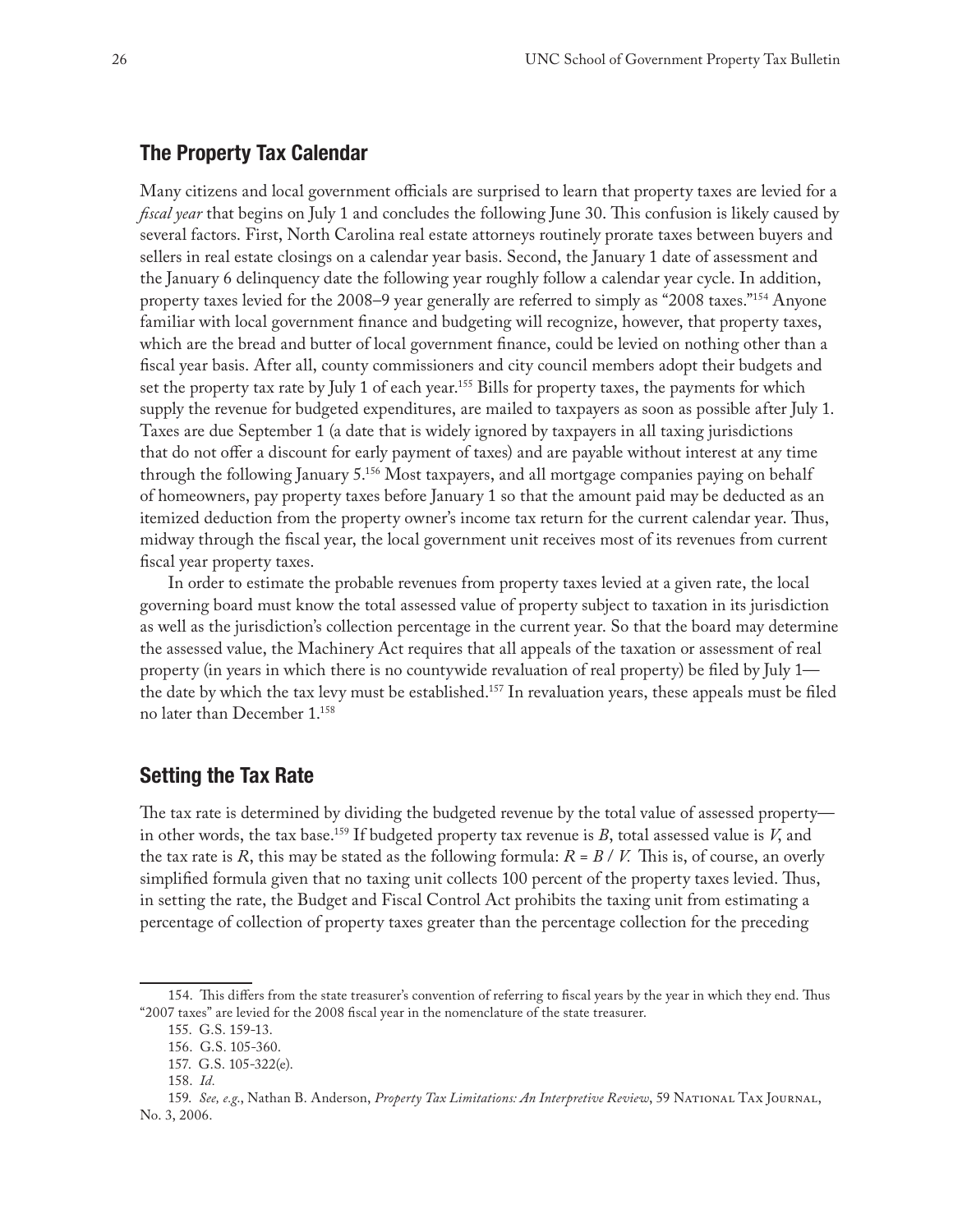# **The Property Tax Calendar**

Many citizens and local government officials are surprised to learn that property taxes are levied for a *fiscal year* that begins on July 1 and concludes the following June 30. This confusion is likely caused by several factors. First, North Carolina real estate attorneys routinely prorate taxes between buyers and sellers in real estate closings on a calendar year basis. Second, the January 1 date of assessment and the January 6 delinquency date the following year roughly follow a calendar year cycle. In addition, property taxes levied for the 2008–9 year generally are referred to simply as "2008 taxes."154 Anyone familiar with local government finance and budgeting will recognize, however, that property taxes, which are the bread and butter of local government finance, could be levied on nothing other than a fiscal year basis. After all, county commissioners and city council members adopt their budgets and set the property tax rate by July 1 of each year.<sup>155</sup> Bills for property taxes, the payments for which supply the revenue for budgeted expenditures, are mailed to taxpayers as soon as possible after July 1. Taxes are due September 1 (a date that is widely ignored by taxpayers in all taxing jurisdictions that do not offer a discount for early payment of taxes) and are payable without interest at any time through the following January 5.156 Most taxpayers, and all mortgage companies paying on behalf of homeowners, pay property taxes before January 1 so that the amount paid may be deducted as an itemized deduction from the property owner's income tax return for the current calendar year. Thus, midway through the fiscal year, the local government unit receives most of its revenues from current fiscal year property taxes.

In order to estimate the probable revenues from property taxes levied at a given rate, the local governing board must know the total assessed value of property subject to taxation in its jurisdiction as well as the jurisdiction's collection percentage in the current year. So that the board may determine the assessed value, the Machinery Act requires that all appeals of the taxation or assessment of real property (in years in which there is no countywide revaluation of real property) be filed by July 1 the date by which the tax levy must be established.<sup>157</sup> In revaluation years, these appeals must be filed no later than December 1.158

# **Setting the Tax Rate**

The tax rate is determined by dividing the budgeted revenue by the total value of assessed property in other words, the tax base.<sup>159</sup> If budgeted property tax revenue is  $B$ , total assessed value is  $V$ , and the tax rate is *R*, this may be stated as the following formula:  $R = B / V$ . This is, of course, an overly simplified formula given that no taxing unit collects 100 percent of the property taxes levied. Thus, in setting the rate, the Budget and Fiscal Control Act prohibits the taxing unit from estimating a percentage of collection of property taxes greater than the percentage collection for the preceding

<sup>154.</sup> This differs from the state treasurer's convention of referring to fiscal years by the year in which they end. Thus "2007 taxes" are levied for the 2008 fiscal year in the nomenclature of the state treasurer.

<sup>155.</sup> G.S. 159-13.

<sup>156.</sup> G.S. 105-360.

<sup>157.</sup> G.S. 105-322(e).

<sup>158.</sup> *Id.*

<sup>159.</sup> *See, e.g*., Nathan B. Anderson, *Property Tax Limitations: An Interpretive Review*, 59 National Tax Journal, No. 3, 2006.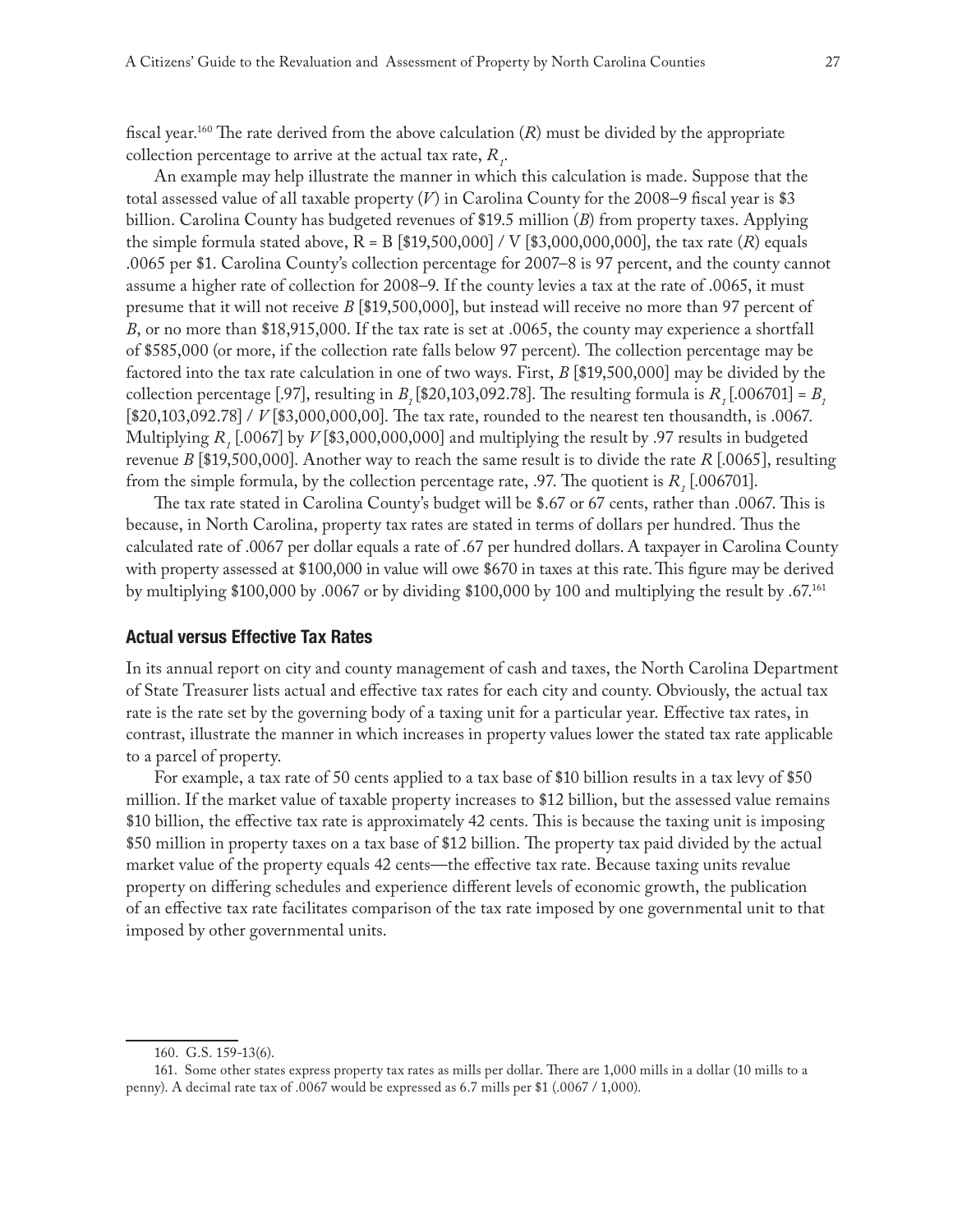fiscal year.<sup>160</sup> The rate derived from the above calculation  $(R)$  must be divided by the appropriate collection percentage to arrive at the actual tax rate,  $R_{i}$ .

An example may help illustrate the manner in which this calculation is made. Suppose that the total assessed value of all taxable property (*V*) in Carolina County for the 2008–9 fiscal year is \$3 billion. Carolina County has budgeted revenues of \$19.5 million (*B*) from property taxes. Applying the simple formula stated above,  $R = B$  [\$19,500,000] / V [\$3,000,000,000], the tax rate  $(R)$  equals .0065 per \$1. Carolina County's collection percentage for 2007–8 is 97 percent, and the county cannot assume a higher rate of collection for 2008–9. If the county levies a tax at the rate of .0065, it must presume that it will not receive *B* [\$19,500,000], but instead will receive no more than 97 percent of *B*, or no more than \$18,915,000. If the tax rate is set at .0065, the county may experience a shortfall of \$585,000 (or more, if the collection rate falls below 97 percent). The collection percentage may be factored into the tax rate calculation in one of two ways. First, *B* [\$19,500,000] may be divided by the collection percentage [.97], resulting in *B<sub>1</sub>* [\$20,103,092.78]. The resulting formula is  $R_1$  [.006701] =  $B_1$ [\$20,103,092.78] / *V* [\$3,000,000,00]. The tax rate, rounded to the nearest ten thousandth, is .0067. Multiplying  $R_1$ [.0067] by  $V$  [\$3,000,000,000] and multiplying the result by .97 results in budgeted revenue *B* [\$19,500,000]. Another way to reach the same result is to divide the rate *R* [.0065], resulting from the simple formula, by the collection percentage rate,  $.97$ . The quotient is  $R$ ,  $[.006701]$ .

The tax rate stated in Carolina County's budget will be \$.67 or 67 cents, rather than .0067. This is because, in North Carolina, property tax rates are stated in terms of dollars per hundred. Thus the calculated rate of .0067 per dollar equals a rate of .67 per hundred dollars. A taxpayer in Carolina County with property assessed at \$100,000 in value will owe \$670 in taxes at this rate. This figure may be derived by multiplying \$100,000 by .0067 or by dividing \$100,000 by 100 and multiplying the result by .67.161

# **Actual versus Effective Tax Rates**

In its annual report on city and county management of cash and taxes, the North Carolina Department of State Treasurer lists actual and effective tax rates for each city and county. Obviously, the actual tax rate is the rate set by the governing body of a taxing unit for a particular year. Effective tax rates, in contrast, illustrate the manner in which increases in property values lower the stated tax rate applicable to a parcel of property.

For example, a tax rate of 50 cents applied to a tax base of \$10 billion results in a tax levy of \$50 million. If the market value of taxable property increases to \$12 billion, but the assessed value remains \$10 billion, the effective tax rate is approximately 42 cents. This is because the taxing unit is imposing \$50 million in property taxes on a tax base of \$12 billion. The property tax paid divided by the actual market value of the property equals 42 cents—the effective tax rate. Because taxing units revalue property on differing schedules and experience different levels of economic growth, the publication of an effective tax rate facilitates comparison of the tax rate imposed by one governmental unit to that imposed by other governmental units.

<sup>160.</sup> G.S. 159-13(6).

<sup>161.</sup> Some other states express property tax rates as mills per dollar. There are 1,000 mills in a dollar (10 mills to a penny). A decimal rate tax of .0067 would be expressed as 6.7 mills per \$1 (.0067 / 1,000).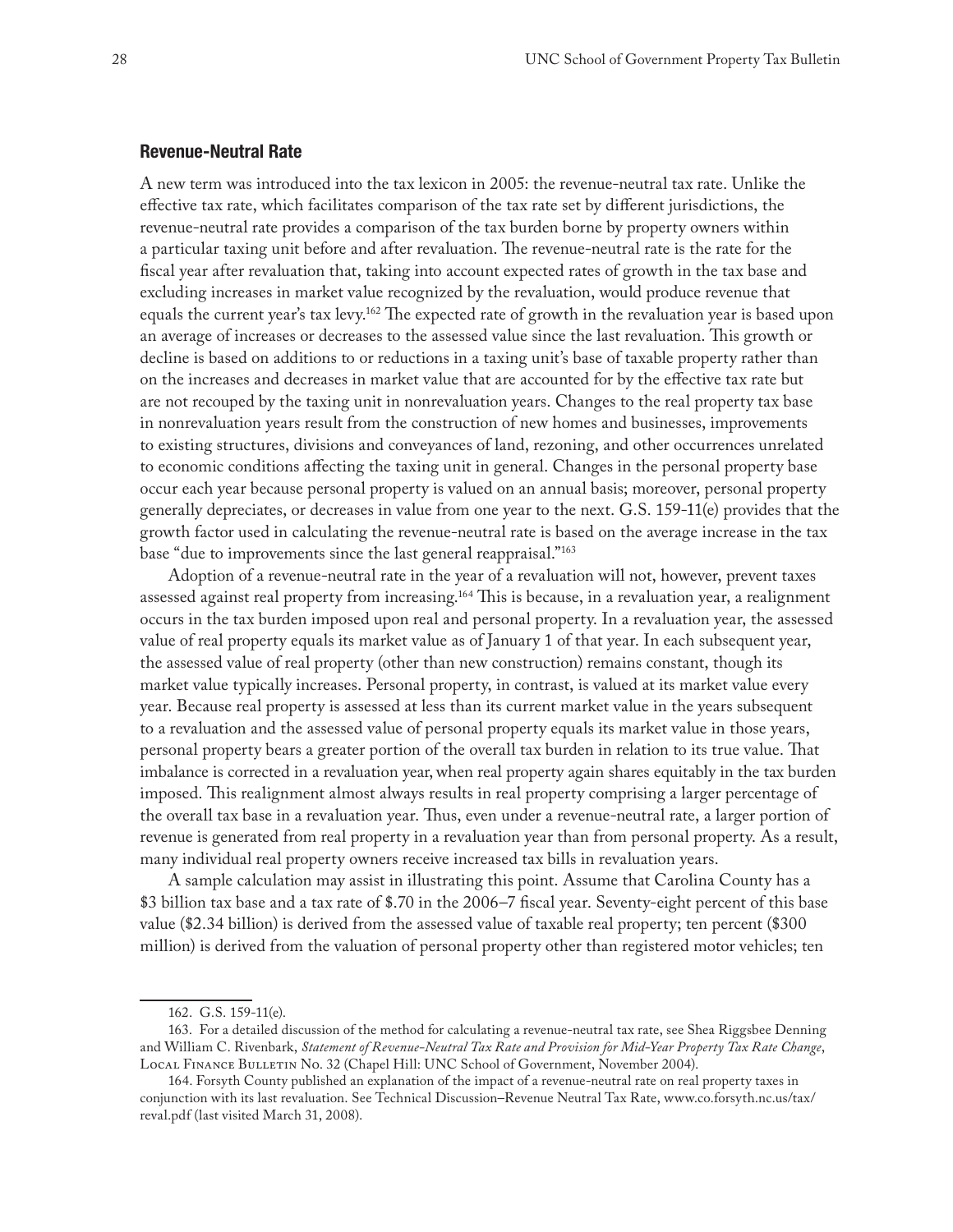# **Revenue-Neutral Rate**

A new term was introduced into the tax lexicon in 2005: the revenue-neutral tax rate. Unlike the effective tax rate, which facilitates comparison of the tax rate set by different jurisdictions, the revenue-neutral rate provides a comparison of the tax burden borne by property owners within a particular taxing unit before and after revaluation. The revenue-neutral rate is the rate for the fiscal year after revaluation that, taking into account expected rates of growth in the tax base and excluding increases in market value recognized by the revaluation, would produce revenue that equals the current year's tax levy.162 The expected rate of growth in the revaluation year is based upon an average of increases or decreases to the assessed value since the last revaluation. This growth or decline is based on additions to or reductions in a taxing unit's base of taxable property rather than on the increases and decreases in market value that are accounted for by the effective tax rate but are not recouped by the taxing unit in nonrevaluation years. Changes to the real property tax base in nonrevaluation years result from the construction of new homes and businesses, improvements to existing structures, divisions and conveyances of land, rezoning, and other occurrences unrelated to economic conditions affecting the taxing unit in general. Changes in the personal property base occur each year because personal property is valued on an annual basis; moreover, personal property generally depreciates, or decreases in value from one year to the next. G.S. 159-11(e) provides that the growth factor used in calculating the revenue-neutral rate is based on the average increase in the tax base "due to improvements since the last general reappraisal."163

Adoption of a revenue-neutral rate in the year of a revaluation will not, however, prevent taxes assessed against real property from increasing.<sup>164</sup> This is because, in a revaluation year, a realignment occurs in the tax burden imposed upon real and personal property. In a revaluation year, the assessed value of real property equals its market value as of January 1 of that year. In each subsequent year, the assessed value of real property (other than new construction) remains constant, though its market value typically increases. Personal property, in contrast, is valued at its market value every year. Because real property is assessed at less than its current market value in the years subsequent to a revaluation and the assessed value of personal property equals its market value in those years, personal property bears a greater portion of the overall tax burden in relation to its true value. That imbalance is corrected in a revaluation year, when real property again shares equitably in the tax burden imposed. This realignment almost always results in real property comprising a larger percentage of the overall tax base in a revaluation year. Thus, even under a revenue-neutral rate, a larger portion of revenue is generated from real property in a revaluation year than from personal property. As a result, many individual real property owners receive increased tax bills in revaluation years.

A sample calculation may assist in illustrating this point. Assume that Carolina County has a \$3 billion tax base and a tax rate of \$.70 in the 2006–7 fiscal year. Seventy-eight percent of this base value (\$2.34 billion) is derived from the assessed value of taxable real property; ten percent (\$300 million) is derived from the valuation of personal property other than registered motor vehicles; ten

<sup>162.</sup> G.S. 159-11(e).

<sup>163.</sup> For a detailed discussion of the method for calculating a revenue-neutral tax rate, see Shea Riggsbee Denning and William C. Rivenbark, *Statement of Revenue-Neutral Tax Rate and Provision for Mid-Year Property Tax Rate Change*, Local Finance Bulletin No. 32 (Chapel Hill: UNC School of Government, November 2004).

<sup>164.</sup> Forsyth County published an explanation of the impact of a revenue-neutral rate on real property taxes in conjunction with its last revaluation. See Technical Discussion–Revenue Neutral Tax Rate, www.co.forsyth.nc.us/tax/ reval.pdf (last visited March 31, 2008).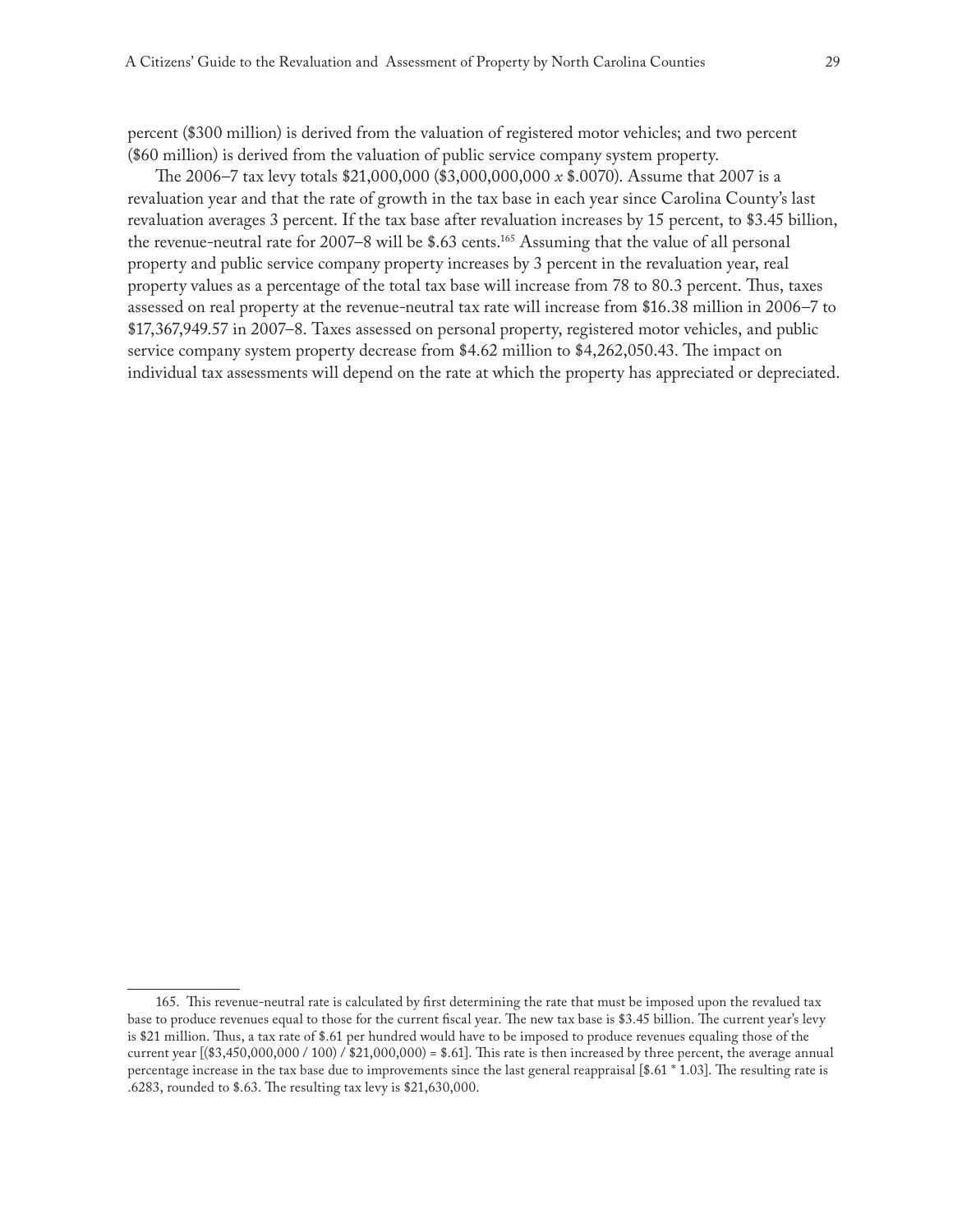percent (\$300 million) is derived from the valuation of registered motor vehicles; and two percent (\$60 million) is derived from the valuation of public service company system property.

The 2006–7 tax levy totals \$21,000,000 (\$3,000,000,000 *x* \$.0070). Assume that 2007 is a revaluation year and that the rate of growth in the tax base in each year since Carolina County's last revaluation averages 3 percent. If the tax base after revaluation increases by 15 percent, to \$3.45 billion, the revenue-neutral rate for 2007–8 will be \$.63 cents.<sup>165</sup> Assuming that the value of all personal property and public service company property increases by 3 percent in the revaluation year, real property values as a percentage of the total tax base will increase from 78 to 80.3 percent. Thus, taxes assessed on real property at the revenue-neutral tax rate will increase from \$16.38 million in 2006–7 to \$17,367,949.57 in 2007–8. Taxes assessed on personal property, registered motor vehicles, and public service company system property decrease from \$4.62 million to \$4,262,050.43. The impact on individual tax assessments will depend on the rate at which the property has appreciated or depreciated.

<sup>165.</sup> This revenue-neutral rate is calculated by first determining the rate that must be imposed upon the revalued tax base to produce revenues equal to those for the current fiscal year. The new tax base is \$3.45 billion. The current year's levy is \$21 million. Thus, a tax rate of \$.61 per hundred would have to be imposed to produce revenues equaling those of the current year  $[(\$3,450,000,000 / 100) / \$21,000,000] = \$.61]$ . This rate is then increased by three percent, the average annual percentage increase in the tax base due to improvements since the last general reappraisal [\$.61 \* 1.03]. The resulting rate is .6283, rounded to \$.63. The resulting tax levy is \$21,630,000.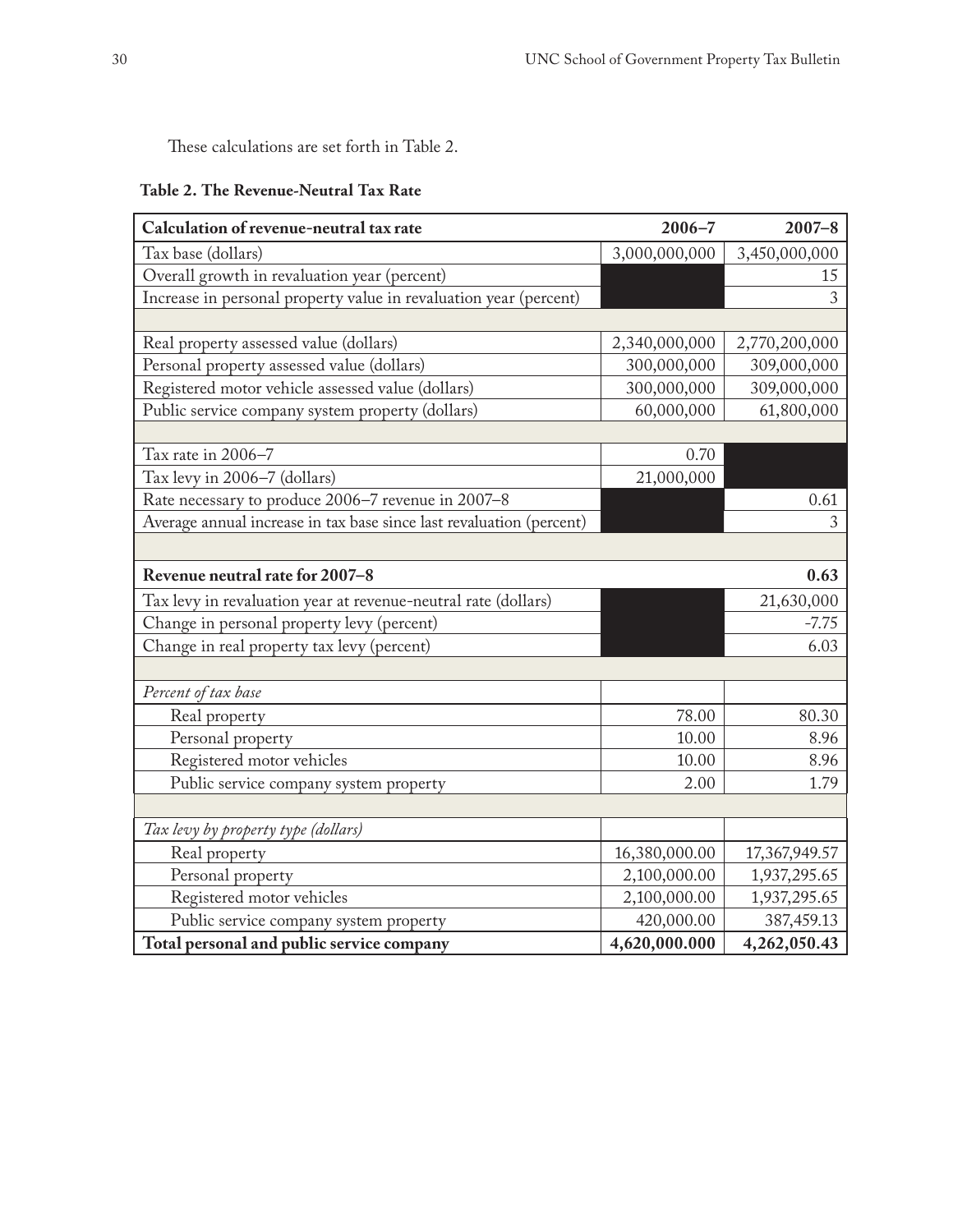These calculations are set forth in Table 2.

|  |  | Table 2. The Revenue-Neutral Tax Rate |  |  |
|--|--|---------------------------------------|--|--|
|--|--|---------------------------------------|--|--|

| Calculation of revenue-neutral tax rate                              | $2006 - 7$    | $2007 - 8$    |  |  |
|----------------------------------------------------------------------|---------------|---------------|--|--|
| Tax base (dollars)                                                   | 3,000,000,000 | 3,450,000,000 |  |  |
| Overall growth in revaluation year (percent)                         |               | 15            |  |  |
| Increase in personal property value in revaluation year (percent)    |               | 3             |  |  |
|                                                                      |               |               |  |  |
| Real property assessed value (dollars)                               | 2,340,000,000 | 2,770,200,000 |  |  |
| Personal property assessed value (dollars)                           | 300,000,000   | 309,000,000   |  |  |
| Registered motor vehicle assessed value (dollars)                    | 300,000,000   | 309,000,000   |  |  |
| Public service company system property (dollars)                     | 60,000,000    | 61,800,000    |  |  |
|                                                                      |               |               |  |  |
| Tax rate in 2006-7                                                   | 0.70          |               |  |  |
| Tax levy in 2006-7 (dollars)                                         | 21,000,000    |               |  |  |
| Rate necessary to produce 2006-7 revenue in 2007-8                   |               | 0.61          |  |  |
| Average annual increase in tax base since last revaluation (percent) |               | 3             |  |  |
|                                                                      |               |               |  |  |
| Revenue neutral rate for 2007-8<br>0.63                              |               |               |  |  |
| Tax levy in revaluation year at revenue-neutral rate (dollars)       |               | 21,630,000    |  |  |
| Change in personal property levy (percent)                           |               | $-7.75$       |  |  |
| Change in real property tax levy (percent)                           |               | 6.03          |  |  |
|                                                                      |               |               |  |  |
| Percent of tax base                                                  |               |               |  |  |
| Real property                                                        | 78.00         | 80.30         |  |  |
| Personal property                                                    | 10.00         | 8.96          |  |  |
| Registered motor vehicles                                            | 10.00         | 8.96          |  |  |
| Public service company system property                               | 2.00          | 1.79          |  |  |
|                                                                      |               |               |  |  |
| Tax levy by property type (dollars)                                  |               |               |  |  |
| Real property                                                        | 16,380,000.00 | 17,367,949.57 |  |  |
| Personal property                                                    | 2,100,000.00  | 1,937,295.65  |  |  |
| Registered motor vehicles                                            | 2,100,000.00  | 1,937,295.65  |  |  |
| Public service company system property                               | 420,000.00    | 387,459.13    |  |  |
| Total personal and public service company                            | 4,620,000.000 | 4,262,050.43  |  |  |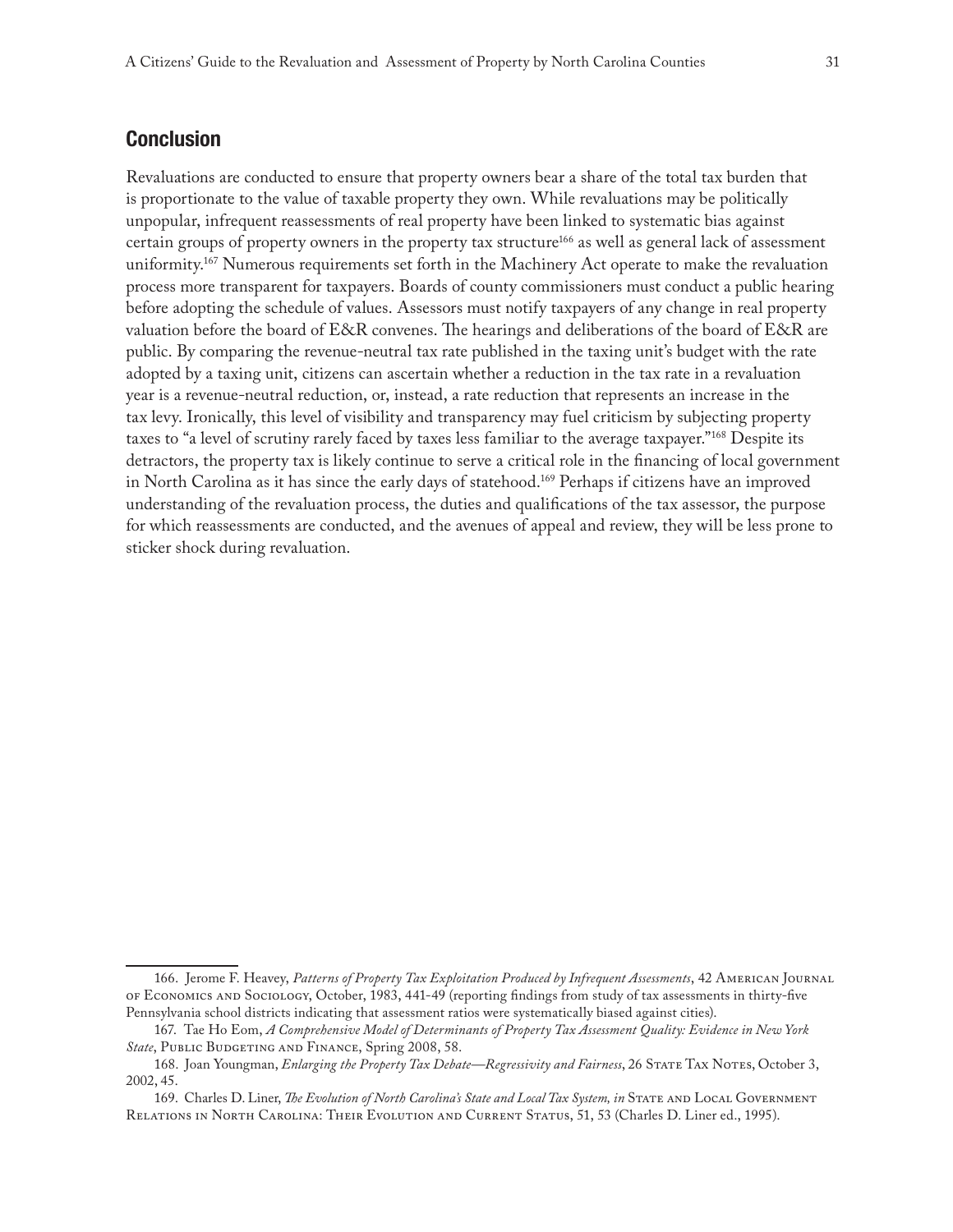# **Conclusion**

Revaluations are conducted to ensure that property owners bear a share of the total tax burden that is proportionate to the value of taxable property they own. While revaluations may be politically unpopular, infrequent reassessments of real property have been linked to systematic bias against certain groups of property owners in the property tax structure<sup>166</sup> as well as general lack of assessment uniformity.<sup>167</sup> Numerous requirements set forth in the Machinery Act operate to make the revaluation process more transparent for taxpayers. Boards of county commissioners must conduct a public hearing before adopting the schedule of values. Assessors must notify taxpayers of any change in real property valuation before the board of E&R convenes. The hearings and deliberations of the board of E&R are public. By comparing the revenue-neutral tax rate published in the taxing unit's budget with the rate adopted by a taxing unit, citizens can ascertain whether a reduction in the tax rate in a revaluation year is a revenue-neutral reduction, or, instead, a rate reduction that represents an increase in the tax levy. Ironically, this level of visibility and transparency may fuel criticism by subjecting property taxes to "a level of scrutiny rarely faced by taxes less familiar to the average taxpayer."168 Despite its detractors, the property tax is likely continue to serve a critical role in the financing of local government in North Carolina as it has since the early days of statehood.169 Perhaps if citizens have an improved understanding of the revaluation process, the duties and qualifications of the tax assessor, the purpose for which reassessments are conducted, and the avenues of appeal and review, they will be less prone to sticker shock during revaluation.

<sup>166.</sup> Jerome F. Heavey, *Patterns of Property Tax Exploitation Produced by Infrequent Assessments*, 42 American Journal of Economics and Sociology, October, 1983, 441-49 (reporting findings from study of tax assessments in thirty-five Pennsylvania school districts indicating that assessment ratios were systematically biased against cities).

<sup>167.</sup> Tae Ho Eom, *A Comprehensive Model of Determinants of Property Tax Assessment Quality: Evidence in New York State*, Public Budgeting and Finance, Spring 2008, 58.

<sup>168.</sup> Joan Youngman, *Enlarging the Property Tax Debate—Regressivity and Fairness*, 26 STATE TAX NOTES, October 3, 2002, 45.

<sup>169.</sup> Charles D. Liner, *The Evolution of North Carolina's State and Local Tax System, in* STATE AND LOCAL GOVERNMENT Relations in North Carolina: Their Evolution and Current Status, 51, 53 (Charles D. Liner ed., 1995).